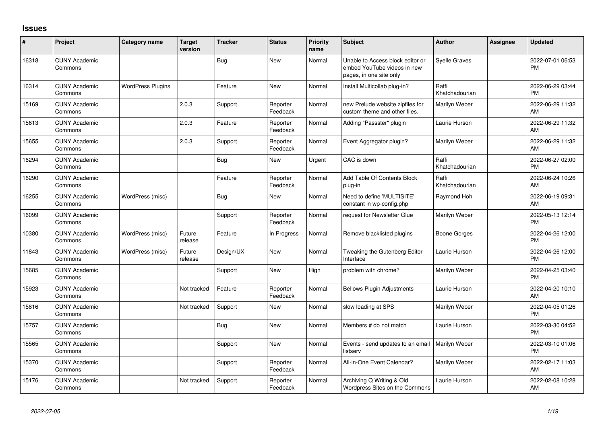## **Issues**

| #     | Project                         | Category name            | <b>Target</b><br>version | <b>Tracker</b> | <b>Status</b>        | <b>Priority</b><br>name | <b>Subject</b>                                                                             | Author                  | <b>Assignee</b> | <b>Updated</b>                |
|-------|---------------------------------|--------------------------|--------------------------|----------------|----------------------|-------------------------|--------------------------------------------------------------------------------------------|-------------------------|-----------------|-------------------------------|
| 16318 | <b>CUNY Academic</b><br>Commons |                          |                          | Bug            | <b>New</b>           | Normal                  | Unable to Access block editor or<br>embed YouTube videos in new<br>pages, in one site only | <b>Syelle Graves</b>    |                 | 2022-07-01 06:53<br><b>PM</b> |
| 16314 | <b>CUNY Academic</b><br>Commons | <b>WordPress Plugins</b> |                          | Feature        | <b>New</b>           | Normal                  | Install Multicollab plug-in?                                                               | Raffi<br>Khatchadourian |                 | 2022-06-29 03:44<br><b>PM</b> |
| 15169 | <b>CUNY Academic</b><br>Commons |                          | 2.0.3                    | Support        | Reporter<br>Feedback | Normal                  | new Prelude website zipfiles for<br>custom theme and other files.                          | Marilyn Weber           |                 | 2022-06-29 11:32<br>AM        |
| 15613 | <b>CUNY Academic</b><br>Commons |                          | 2.0.3                    | Feature        | Reporter<br>Feedback | Normal                  | Adding "Passster" plugin                                                                   | Laurie Hurson           |                 | 2022-06-29 11:32<br>AM        |
| 15655 | <b>CUNY Academic</b><br>Commons |                          | 2.0.3                    | Support        | Reporter<br>Feedback | Normal                  | Event Aggregator plugin?                                                                   | Marilyn Weber           |                 | 2022-06-29 11:32<br>AM        |
| 16294 | <b>CUNY Academic</b><br>Commons |                          |                          | Bug            | <b>New</b>           | Urgent                  | CAC is down                                                                                | Raffi<br>Khatchadourian |                 | 2022-06-27 02:00<br><b>PM</b> |
| 16290 | <b>CUNY Academic</b><br>Commons |                          |                          | Feature        | Reporter<br>Feedback | Normal                  | Add Table Of Contents Block<br>plug-in                                                     | Raffi<br>Khatchadourian |                 | 2022-06-24 10:26<br>AM        |
| 16255 | <b>CUNY Academic</b><br>Commons | WordPress (misc)         |                          | <b>Bug</b>     | New                  | Normal                  | Need to define 'MULTISITE'<br>constant in wp-config.php                                    | Raymond Hoh             |                 | 2022-06-19 09:31<br>AM        |
| 16099 | <b>CUNY Academic</b><br>Commons |                          |                          | Support        | Reporter<br>Feedback | Normal                  | request for Newsletter Glue                                                                | Marilyn Weber           |                 | 2022-05-13 12:14<br><b>PM</b> |
| 10380 | <b>CUNY Academic</b><br>Commons | WordPress (misc)         | Future<br>release        | Feature        | In Progress          | Normal                  | Remove blacklisted plugins                                                                 | <b>Boone Gorges</b>     |                 | 2022-04-26 12:00<br><b>PM</b> |
| 11843 | <b>CUNY Academic</b><br>Commons | WordPress (misc)         | Future<br>release        | Design/UX      | <b>New</b>           | Normal                  | Tweaking the Gutenberg Editor<br>Interface                                                 | Laurie Hurson           |                 | 2022-04-26 12:00<br><b>PM</b> |
| 15685 | <b>CUNY Academic</b><br>Commons |                          |                          | Support        | <b>New</b>           | High                    | problem with chrome?                                                                       | Marilyn Weber           |                 | 2022-04-25 03:40<br><b>PM</b> |
| 15923 | <b>CUNY Academic</b><br>Commons |                          | Not tracked              | Feature        | Reporter<br>Feedback | Normal                  | <b>Bellows Plugin Adjustments</b>                                                          | Laurie Hurson           |                 | 2022-04-20 10:10<br>AM        |
| 15816 | <b>CUNY Academic</b><br>Commons |                          | Not tracked              | Support        | <b>New</b>           | Normal                  | slow loading at SPS                                                                        | Marilyn Weber           |                 | 2022-04-05 01:26<br><b>PM</b> |
| 15757 | <b>CUNY Academic</b><br>Commons |                          |                          | <b>Bug</b>     | <b>New</b>           | Normal                  | Members # do not match                                                                     | Laurie Hurson           |                 | 2022-03-30 04:52<br><b>PM</b> |
| 15565 | <b>CUNY Academic</b><br>Commons |                          |                          | Support        | <b>New</b>           | Normal                  | Events - send updates to an email<br>listserv                                              | Marilyn Weber           |                 | 2022-03-10 01:06<br><b>PM</b> |
| 15370 | <b>CUNY Academic</b><br>Commons |                          |                          | Support        | Reporter<br>Feedback | Normal                  | All-in-One Event Calendar?                                                                 | Marilyn Weber           |                 | 2022-02-17 11:03<br>AM        |
| 15176 | <b>CUNY Academic</b><br>Commons |                          | Not tracked              | Support        | Reporter<br>Feedback | Normal                  | Archiving Q Writing & Old<br>Wordpress Sites on the Commons                                | Laurie Hurson           |                 | 2022-02-08 10:28<br>AM        |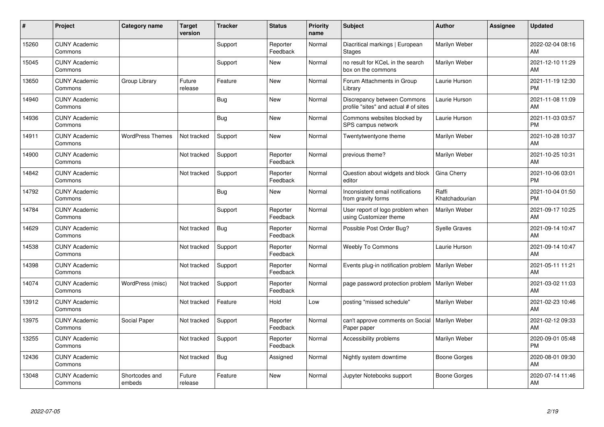| #     | Project                         | <b>Category name</b>     | <b>Target</b><br>version | <b>Tracker</b> | <b>Status</b>        | <b>Priority</b><br>name | <b>Subject</b>                                                       | <b>Author</b>           | <b>Assignee</b> | <b>Updated</b>                |
|-------|---------------------------------|--------------------------|--------------------------|----------------|----------------------|-------------------------|----------------------------------------------------------------------|-------------------------|-----------------|-------------------------------|
| 15260 | <b>CUNY Academic</b><br>Commons |                          |                          | Support        | Reporter<br>Feedback | Normal                  | Diacritical markings   European<br><b>Stages</b>                     | Marilyn Weber           |                 | 2022-02-04 08:16<br>AM        |
| 15045 | <b>CUNY Academic</b><br>Commons |                          |                          | Support        | <b>New</b>           | Normal                  | no result for KCeL in the search<br>box on the commons               | Marilyn Weber           |                 | 2021-12-10 11:29<br>AM        |
| 13650 | <b>CUNY Academic</b><br>Commons | Group Library            | Future<br>release        | Feature        | <b>New</b>           | Normal                  | Forum Attachments in Group<br>Library                                | Laurie Hurson           |                 | 2021-11-19 12:30<br><b>PM</b> |
| 14940 | <b>CUNY Academic</b><br>Commons |                          |                          | Bug            | <b>New</b>           | Normal                  | Discrepancy between Commons<br>profile "sites" and actual # of sites | Laurie Hurson           |                 | 2021-11-08 11:09<br>AM        |
| 14936 | <b>CUNY Academic</b><br>Commons |                          |                          | <b>Bug</b>     | <b>New</b>           | Normal                  | Commons websites blocked by<br>SPS campus network                    | Laurie Hurson           |                 | 2021-11-03 03:57<br><b>PM</b> |
| 14911 | <b>CUNY Academic</b><br>Commons | <b>WordPress Themes</b>  | Not tracked              | Support        | <b>New</b>           | Normal                  | Twentytwentyone theme                                                | Marilyn Weber           |                 | 2021-10-28 10:37<br><b>AM</b> |
| 14900 | <b>CUNY Academic</b><br>Commons |                          | Not tracked              | Support        | Reporter<br>Feedback | Normal                  | previous theme?                                                      | Marilyn Weber           |                 | 2021-10-25 10:31<br>AM        |
| 14842 | <b>CUNY Academic</b><br>Commons |                          | Not tracked              | Support        | Reporter<br>Feedback | Normal                  | Question about widgets and block<br>editor                           | Gina Cherry             |                 | 2021-10-06 03:01<br><b>PM</b> |
| 14792 | <b>CUNY Academic</b><br>Commons |                          |                          | Bug            | New                  | Normal                  | Inconsistent email notifications<br>from gravity forms               | Raffi<br>Khatchadourian |                 | 2021-10-04 01:50<br><b>PM</b> |
| 14784 | <b>CUNY Academic</b><br>Commons |                          |                          | Support        | Reporter<br>Feedback | Normal                  | User report of logo problem when<br>using Customizer theme           | Marilyn Weber           |                 | 2021-09-17 10:25<br>AM        |
| 14629 | <b>CUNY Academic</b><br>Commons |                          | Not tracked              | <b>Bug</b>     | Reporter<br>Feedback | Normal                  | Possible Post Order Bug?                                             | <b>Syelle Graves</b>    |                 | 2021-09-14 10:47<br>AM        |
| 14538 | <b>CUNY Academic</b><br>Commons |                          | Not tracked              | Support        | Reporter<br>Feedback | Normal                  | <b>Weebly To Commons</b>                                             | Laurie Hurson           |                 | 2021-09-14 10:47<br><b>AM</b> |
| 14398 | <b>CUNY Academic</b><br>Commons |                          | Not tracked              | Support        | Reporter<br>Feedback | Normal                  | Events plug-in notification problem                                  | Marilyn Weber           |                 | 2021-05-11 11:21<br><b>AM</b> |
| 14074 | <b>CUNY Academic</b><br>Commons | WordPress (misc)         | Not tracked              | Support        | Reporter<br>Feedback | Normal                  | page password protection problem                                     | Marilyn Weber           |                 | 2021-03-02 11:03<br><b>AM</b> |
| 13912 | <b>CUNY Academic</b><br>Commons |                          | Not tracked              | Feature        | Hold                 | Low                     | posting "missed schedule"                                            | Marilyn Weber           |                 | 2021-02-23 10:46<br><b>AM</b> |
| 13975 | <b>CUNY Academic</b><br>Commons | Social Paper             | Not tracked              | Support        | Reporter<br>Feedback | Normal                  | can't approve comments on Social<br>Paper paper                      | Marilyn Weber           |                 | 2021-02-12 09:33<br><b>AM</b> |
| 13255 | <b>CUNY Academic</b><br>Commons |                          | Not tracked              | Support        | Reporter<br>Feedback | Normal                  | Accessibility problems                                               | Marilyn Weber           |                 | 2020-09-01 05:48<br><b>PM</b> |
| 12436 | <b>CUNY Academic</b><br>Commons |                          | Not tracked              | Bug            | Assigned             | Normal                  | Nightly system downtime                                              | Boone Gorges            |                 | 2020-08-01 09:30<br>AM        |
| 13048 | <b>CUNY Academic</b><br>Commons | Shortcodes and<br>embeds | Future<br>release        | Feature        | <b>New</b>           | Normal                  | Jupyter Notebooks support                                            | Boone Gorges            |                 | 2020-07-14 11:46<br>AM        |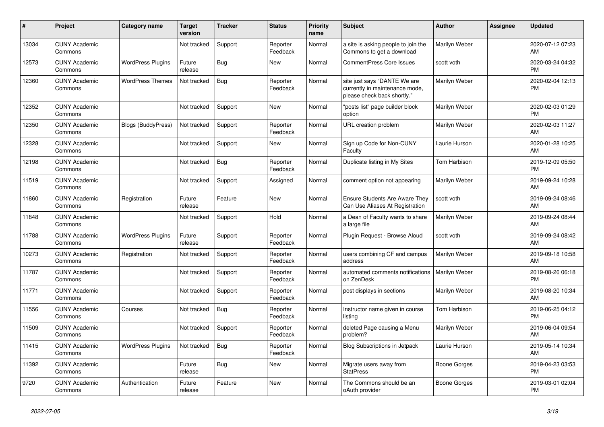| #     | Project                         | <b>Category name</b>      | <b>Target</b><br>version | <b>Tracker</b> | <b>Status</b>        | <b>Priority</b><br>name | <b>Subject</b>                                                                                | <b>Author</b>       | Assignee | <b>Updated</b>                |
|-------|---------------------------------|---------------------------|--------------------------|----------------|----------------------|-------------------------|-----------------------------------------------------------------------------------------------|---------------------|----------|-------------------------------|
| 13034 | <b>CUNY Academic</b><br>Commons |                           | Not tracked              | Support        | Reporter<br>Feedback | Normal                  | a site is asking people to join the<br>Commons to get a download                              | Marilyn Weber       |          | 2020-07-12 07:23<br>AM        |
| 12573 | <b>CUNY Academic</b><br>Commons | <b>WordPress Plugins</b>  | Future<br>release        | <b>Bug</b>     | <b>New</b>           | Normal                  | <b>CommentPress Core Issues</b>                                                               | scott voth          |          | 2020-03-24 04:32<br><b>PM</b> |
| 12360 | <b>CUNY Academic</b><br>Commons | <b>WordPress Themes</b>   | Not tracked              | Bug            | Reporter<br>Feedback | Normal                  | site just says "DANTE We are<br>currently in maintenance mode,<br>please check back shortly." | Marilyn Weber       |          | 2020-02-04 12:13<br><b>PM</b> |
| 12352 | <b>CUNY Academic</b><br>Commons |                           | Not tracked              | Support        | <b>New</b>           | Normal                  | "posts list" page builder block<br>option                                                     | Marilyn Weber       |          | 2020-02-03 01:29<br><b>PM</b> |
| 12350 | <b>CUNY Academic</b><br>Commons | <b>Blogs (BuddyPress)</b> | Not tracked              | Support        | Reporter<br>Feedback | Normal                  | URL creation problem                                                                          | Marilyn Weber       |          | 2020-02-03 11:27<br>AM        |
| 12328 | <b>CUNY Academic</b><br>Commons |                           | Not tracked              | Support        | New                  | Normal                  | Sign up Code for Non-CUNY<br>Faculty                                                          | Laurie Hurson       |          | 2020-01-28 10:25<br>AM        |
| 12198 | <b>CUNY Academic</b><br>Commons |                           | Not tracked              | Bug            | Reporter<br>Feedback | Normal                  | Duplicate listing in My Sites                                                                 | Tom Harbison        |          | 2019-12-09 05:50<br><b>PM</b> |
| 11519 | <b>CUNY Academic</b><br>Commons |                           | Not tracked              | Support        | Assigned             | Normal                  | comment option not appearing                                                                  | Marilyn Weber       |          | 2019-09-24 10:28<br>AM        |
| 11860 | <b>CUNY Academic</b><br>Commons | Registration              | Future<br>release        | Feature        | <b>New</b>           | Normal                  | <b>Ensure Students Are Aware They</b><br>Can Use Aliases At Registration                      | scott voth          |          | 2019-09-24 08:46<br>AM        |
| 11848 | <b>CUNY Academic</b><br>Commons |                           | Not tracked              | Support        | Hold                 | Normal                  | a Dean of Faculty wants to share<br>a large file                                              | Marilyn Weber       |          | 2019-09-24 08:44<br>AM        |
| 11788 | <b>CUNY Academic</b><br>Commons | <b>WordPress Plugins</b>  | Future<br>release        | Support        | Reporter<br>Feedback | Normal                  | Plugin Request - Browse Aloud                                                                 | scott voth          |          | 2019-09-24 08:42<br>AM        |
| 10273 | <b>CUNY Academic</b><br>Commons | Registration              | Not tracked              | Support        | Reporter<br>Feedback | Normal                  | users combining CF and campus<br>address                                                      | Marilyn Weber       |          | 2019-09-18 10:58<br>AM        |
| 11787 | <b>CUNY Academic</b><br>Commons |                           | Not tracked              | Support        | Reporter<br>Feedback | Normal                  | automated comments notifications<br>on ZenDesk                                                | Marilyn Weber       |          | 2019-08-26 06:18<br><b>PM</b> |
| 11771 | <b>CUNY Academic</b><br>Commons |                           | Not tracked              | Support        | Reporter<br>Feedback | Normal                  | post displays in sections                                                                     | Marilyn Weber       |          | 2019-08-20 10:34<br>AM        |
| 11556 | <b>CUNY Academic</b><br>Commons | Courses                   | Not tracked              | Bug            | Reporter<br>Feedback | Normal                  | Instructor name given in course<br>listing                                                    | <b>Tom Harbison</b> |          | 2019-06-25 04:12<br><b>PM</b> |
| 11509 | <b>CUNY Academic</b><br>Commons |                           | Not tracked              | Support        | Reporter<br>Feedback | Normal                  | deleted Page causing a Menu<br>problem?                                                       | Marilyn Weber       |          | 2019-06-04 09:54<br>AM        |
| 11415 | <b>CUNY Academic</b><br>Commons | <b>WordPress Plugins</b>  | Not tracked              | Bug            | Reporter<br>Feedback | Normal                  | Blog Subscriptions in Jetpack                                                                 | Laurie Hurson       |          | 2019-05-14 10:34<br>AM        |
| 11392 | <b>CUNY Academic</b><br>Commons |                           | Future<br>release        | Bug            | <b>New</b>           | Normal                  | Migrate users away from<br><b>StatPress</b>                                                   | <b>Boone Gorges</b> |          | 2019-04-23 03:53<br><b>PM</b> |
| 9720  | <b>CUNY Academic</b><br>Commons | Authentication            | Future<br>release        | Feature        | <b>New</b>           | Normal                  | The Commons should be an<br>oAuth provider                                                    | Boone Gorges        |          | 2019-03-01 02:04<br><b>PM</b> |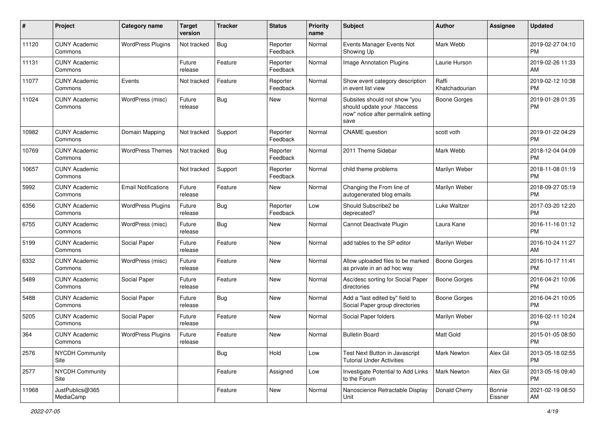| #     | Project                         | <b>Category name</b>       | <b>Target</b><br>version | <b>Tracker</b> | <b>Status</b>        | <b>Priority</b><br>name | Subject                                                                                                      | Author                  | <b>Assignee</b>   | <b>Updated</b>                |
|-------|---------------------------------|----------------------------|--------------------------|----------------|----------------------|-------------------------|--------------------------------------------------------------------------------------------------------------|-------------------------|-------------------|-------------------------------|
| 11120 | <b>CUNY Academic</b><br>Commons | <b>WordPress Plugins</b>   | Not tracked              | Bug            | Reporter<br>Feedback | Normal                  | Events Manager Events Not<br>Showing Up                                                                      | Mark Webb               |                   | 2019-02-27 04:10<br><b>PM</b> |
| 11131 | <b>CUNY Academic</b><br>Commons |                            | Future<br>release        | Feature        | Reporter<br>Feedback | Normal                  | Image Annotation Plugins                                                                                     | Laurie Hurson           |                   | 2019-02-26 11:33<br>AM        |
| 11077 | <b>CUNY Academic</b><br>Commons | Events                     | Not tracked              | Feature        | Reporter<br>Feedback | Normal                  | Show event category description<br>in event list view                                                        | Raffi<br>Khatchadourian |                   | 2019-02-12 10:38<br><b>PM</b> |
| 11024 | <b>CUNY Academic</b><br>Commons | WordPress (misc)           | Future<br>release        | Bug            | <b>New</b>           | Normal                  | Subsites should not show "you<br>should update your .htaccess<br>now" notice after permalink setting<br>save | <b>Boone Gorges</b>     |                   | 2019-01-28 01:35<br><b>PM</b> |
| 10982 | <b>CUNY Academic</b><br>Commons | Domain Mapping             | Not tracked              | Support        | Reporter<br>Feedback | Normal                  | <b>CNAME</b> question                                                                                        | scott voth              |                   | 2019-01-22 04:29<br><b>PM</b> |
| 10769 | <b>CUNY Academic</b><br>Commons | <b>WordPress Themes</b>    | Not tracked              | Bug            | Reporter<br>Feedback | Normal                  | 2011 Theme Sidebar                                                                                           | Mark Webb               |                   | 2018-12-04 04:09<br><b>PM</b> |
| 10657 | <b>CUNY Academic</b><br>Commons |                            | Not tracked              | Support        | Reporter<br>Feedback | Normal                  | child theme problems                                                                                         | Marilyn Weber           |                   | 2018-11-08 01:19<br><b>PM</b> |
| 5992  | <b>CUNY Academic</b><br>Commons | <b>Email Notifications</b> | Future<br>release        | Feature        | New                  | Normal                  | Changing the From line of<br>autogenerated blog emails                                                       | Marilyn Weber           |                   | 2018-09-27 05:19<br><b>PM</b> |
| 6356  | <b>CUNY Academic</b><br>Commons | <b>WordPress Plugins</b>   | Future<br>release        | Bug            | Reporter<br>Feedback | Low                     | Should Subscribe2 be<br>deprecated?                                                                          | Luke Waltzer            |                   | 2017-03-20 12:20<br><b>PM</b> |
| 6755  | <b>CUNY Academic</b><br>Commons | WordPress (misc)           | Future<br>release        | Bug            | <b>New</b>           | Normal                  | Cannot Deactivate Plugin                                                                                     | Laura Kane              |                   | 2016-11-16 01:12<br><b>PM</b> |
| 5199  | <b>CUNY Academic</b><br>Commons | Social Paper               | Future<br>release        | Feature        | <b>New</b>           | Normal                  | add tables to the SP editor                                                                                  | Marilyn Weber           |                   | 2016-10-24 11:27<br>AM        |
| 6332  | <b>CUNY Academic</b><br>Commons | WordPress (misc)           | Future<br>release        | Feature        | <b>New</b>           | Normal                  | Allow uploaded files to be marked<br>as private in an ad hoc way                                             | Boone Gorges            |                   | 2016-10-17 11:41<br><b>PM</b> |
| 5489  | <b>CUNY Academic</b><br>Commons | Social Paper               | Future<br>release        | Feature        | <b>New</b>           | Normal                  | Asc/desc sorting for Social Paper<br>directories                                                             | Boone Gorges            |                   | 2016-04-21 10:06<br><b>PM</b> |
| 5488  | <b>CUNY Academic</b><br>Commons | Social Paper               | Future<br>release        | Bug            | <b>New</b>           | Normal                  | Add a "last edited by" field to<br>Social Paper group directories                                            | <b>Boone Gorges</b>     |                   | 2016-04-21 10:05<br><b>PM</b> |
| 5205  | <b>CUNY Academic</b><br>Commons | Social Paper               | Future<br>release        | Feature        | New                  | Normal                  | Social Paper folders                                                                                         | Marilyn Weber           |                   | 2016-02-11 10:24<br><b>PM</b> |
| 364   | <b>CUNY Academic</b><br>Commons | <b>WordPress Plugins</b>   | Future<br>release        | Feature        | New                  | Normal                  | <b>Bulletin Board</b>                                                                                        | Matt Gold               |                   | 2015-01-05 08:50<br>PM        |
| 2576  | <b>NYCDH Community</b><br>Site  |                            |                          | Bug            | Hold                 | Low                     | Test Next Button in Javascript<br><b>Tutorial Under Activities</b>                                           | <b>Mark Newton</b>      | Alex Gil          | 2013-05-18 02:55<br><b>PM</b> |
| 2577  | <b>NYCDH Community</b><br>Site  |                            |                          | Feature        | Assigned             | Low                     | Investigate Potential to Add Links<br>to the Forum                                                           | <b>Mark Newton</b>      | Alex Gil          | 2013-05-16 09:40<br><b>PM</b> |
| 11968 | JustPublics@365<br>MediaCamp    |                            |                          | Feature        | New                  | Normal                  | Nanoscience Retractable Display<br>Unit                                                                      | Donald Cherry           | Bonnie<br>Eissner | 2021-02-19 08:50<br>AM        |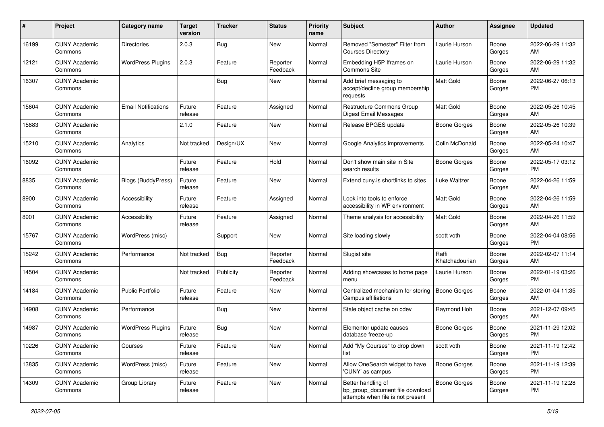| #     | Project                         | <b>Category name</b>       | <b>Target</b><br>version | <b>Tracker</b> | <b>Status</b>        | <b>Priority</b><br>name | <b>Subject</b>                                                                             | Author                  | <b>Assignee</b> | <b>Updated</b>                |
|-------|---------------------------------|----------------------------|--------------------------|----------------|----------------------|-------------------------|--------------------------------------------------------------------------------------------|-------------------------|-----------------|-------------------------------|
| 16199 | <b>CUNY Academic</b><br>Commons | <b>Directories</b>         | 2.0.3                    | <b>Bug</b>     | New                  | Normal                  | Removed "Semester" Filter from<br><b>Courses Directory</b>                                 | Laurie Hurson           | Boone<br>Gorges | 2022-06-29 11:32<br>AM        |
| 12121 | <b>CUNY Academic</b><br>Commons | <b>WordPress Plugins</b>   | 2.0.3                    | Feature        | Reporter<br>Feedback | Normal                  | Embedding H5P Iframes on<br>Commons Site                                                   | Laurie Hurson           | Boone<br>Gorges | 2022-06-29 11:32<br>AM        |
| 16307 | <b>CUNY Academic</b><br>Commons |                            |                          | Bug            | New                  | Normal                  | Add brief messaging to<br>accept/decline group membership<br>requests                      | Matt Gold               | Boone<br>Gorges | 2022-06-27 06:13<br><b>PM</b> |
| 15604 | <b>CUNY Academic</b><br>Commons | <b>Email Notifications</b> | Future<br>release        | Feature        | Assigned             | Normal                  | Restructure Commons Group<br>Digest Email Messages                                         | Matt Gold               | Boone<br>Gorges | 2022-05-26 10:45<br>AM        |
| 15883 | <b>CUNY Academic</b><br>Commons |                            | 2.1.0                    | Feature        | New                  | Normal                  | Release BPGES update                                                                       | Boone Gorges            | Boone<br>Gorges | 2022-05-26 10:39<br>AM        |
| 15210 | <b>CUNY Academic</b><br>Commons | Analytics                  | Not tracked              | Design/UX      | New                  | Normal                  | Google Analytics improvements                                                              | Colin McDonald          | Boone<br>Gorges | 2022-05-24 10:47<br>AM        |
| 16092 | <b>CUNY Academic</b><br>Commons |                            | Future<br>release        | Feature        | Hold                 | Normal                  | Don't show main site in Site<br>search results                                             | Boone Gorges            | Boone<br>Gorges | 2022-05-17 03:12<br><b>PM</b> |
| 8835  | <b>CUNY Academic</b><br>Commons | <b>Blogs (BuddyPress)</b>  | Future<br>release        | Feature        | New                  | Normal                  | Extend cuny is shortlinks to sites                                                         | Luke Waltzer            | Boone<br>Gorges | 2022-04-26 11:59<br>AM        |
| 8900  | <b>CUNY Academic</b><br>Commons | Accessibility              | Future<br>release        | Feature        | Assigned             | Normal                  | Look into tools to enforce<br>accessibility in WP environment                              | <b>Matt Gold</b>        | Boone<br>Gorges | 2022-04-26 11:59<br>AM        |
| 8901  | <b>CUNY Academic</b><br>Commons | Accessibility              | Future<br>release        | Feature        | Assigned             | Normal                  | Theme analysis for accessibility                                                           | <b>Matt Gold</b>        | Boone<br>Gorges | 2022-04-26 11:59<br>AM        |
| 15767 | <b>CUNY Academic</b><br>Commons | WordPress (misc)           |                          | Support        | New                  | Normal                  | Site loading slowly                                                                        | scott voth              | Boone<br>Gorges | 2022-04-04 08:56<br><b>PM</b> |
| 15242 | <b>CUNY Academic</b><br>Commons | Performance                | Not tracked              | Bug            | Reporter<br>Feedback | Normal                  | Slugist site                                                                               | Raffi<br>Khatchadourian | Boone<br>Gorges | 2022-02-07 11:14<br>AM        |
| 14504 | <b>CUNY Academic</b><br>Commons |                            | Not tracked              | Publicity      | Reporter<br>Feedback | Normal                  | Adding showcases to home page<br>menu                                                      | Laurie Hurson           | Boone<br>Gorges | 2022-01-19 03:26<br><b>PM</b> |
| 14184 | <b>CUNY Academic</b><br>Commons | <b>Public Portfolio</b>    | Future<br>release        | Feature        | New                  | Normal                  | Centralized mechanism for storing<br>Campus affiliations                                   | Boone Gorges            | Boone<br>Gorges | 2022-01-04 11:35<br>AM        |
| 14908 | <b>CUNY Academic</b><br>Commons | Performance                |                          | Bug            | New                  | Normal                  | Stale object cache on cdev                                                                 | Raymond Hoh             | Boone<br>Gorges | 2021-12-07 09:45<br>AM        |
| 14987 | <b>CUNY Academic</b><br>Commons | <b>WordPress Plugins</b>   | Future<br>release        | <b>Bug</b>     | New                  | Normal                  | Elementor update causes<br>database freeze-up                                              | <b>Boone Gorges</b>     | Boone<br>Gorges | 2021-11-29 12:02<br><b>PM</b> |
| 10226 | <b>CUNY Academic</b><br>Commons | Courses                    | Future<br>release        | Feature        | New                  | Normal                  | Add "My Courses" to drop down<br>list                                                      | scott voth              | Boone<br>Gorges | 2021-11-19 12:42<br><b>PM</b> |
| 13835 | <b>CUNY Academic</b><br>Commons | WordPress (misc)           | Future<br>release        | Feature        | New                  | Normal                  | Allow OneSearch widget to have<br>'CUNY' as campus                                         | Boone Gorges            | Boone<br>Gorges | 2021-11-19 12:39<br><b>PM</b> |
| 14309 | <b>CUNY Academic</b><br>Commons | Group Library              | Future<br>release        | Feature        | New                  | Normal                  | Better handling of<br>bp_group_document file download<br>attempts when file is not present | Boone Gorges            | Boone<br>Gorges | 2021-11-19 12:28<br>PM        |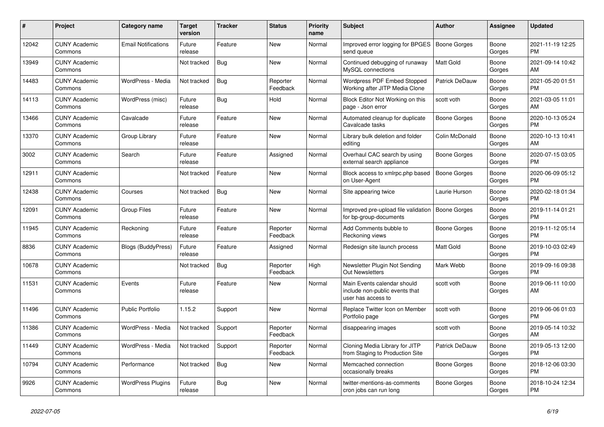| #     | Project                         | <b>Category name</b>       | <b>Target</b><br>version | <b>Tracker</b> | <b>Status</b>        | <b>Priority</b><br>name | <b>Subject</b>                                                                      | <b>Author</b>       | Assignee        | <b>Updated</b>                |
|-------|---------------------------------|----------------------------|--------------------------|----------------|----------------------|-------------------------|-------------------------------------------------------------------------------------|---------------------|-----------------|-------------------------------|
| 12042 | <b>CUNY Academic</b><br>Commons | <b>Email Notifications</b> | Future<br>release        | Feature        | New                  | Normal                  | Improved error logging for BPGES<br>send queue                                      | Boone Gorges        | Boone<br>Gorges | 2021-11-19 12:25<br><b>PM</b> |
| 13949 | <b>CUNY Academic</b><br>Commons |                            | Not tracked              | Bug            | New                  | Normal                  | Continued debugging of runaway<br>MySQL connections                                 | <b>Matt Gold</b>    | Boone<br>Gorges | 2021-09-14 10:42<br>AM        |
| 14483 | <b>CUNY Academic</b><br>Commons | WordPress - Media          | Not tracked              | Bug            | Reporter<br>Feedback | Normal                  | Wordpress PDF Embed Stopped<br>Working after JITP Media Clone                       | Patrick DeDauw      | Boone<br>Gorges | 2021-05-20 01:51<br><b>PM</b> |
| 14113 | <b>CUNY Academic</b><br>Commons | WordPress (misc)           | Future<br>release        | Bug            | Hold                 | Normal                  | Block Editor Not Working on this<br>page - Json error                               | scott voth          | Boone<br>Gorges | 2021-03-05 11:01<br>AM        |
| 13466 | <b>CUNY Academic</b><br>Commons | Cavalcade                  | Future<br>release        | Feature        | New                  | Normal                  | Automated cleanup for duplicate<br>Cavalcade tasks                                  | Boone Gorges        | Boone<br>Gorges | 2020-10-13 05:24<br><b>PM</b> |
| 13370 | <b>CUNY Academic</b><br>Commons | Group Library              | Future<br>release        | Feature        | New                  | Normal                  | Library bulk deletion and folder<br>editing                                         | Colin McDonald      | Boone<br>Gorges | 2020-10-13 10:41<br>AM        |
| 3002  | <b>CUNY Academic</b><br>Commons | Search                     | Future<br>release        | Feature        | Assigned             | Normal                  | Overhaul CAC search by using<br>external search appliance                           | Boone Gorges        | Boone<br>Gorges | 2020-07-15 03:05<br><b>PM</b> |
| 12911 | <b>CUNY Academic</b><br>Commons |                            | Not tracked              | Feature        | <b>New</b>           | Normal                  | Block access to xmlrpc.php based<br>on User-Agent                                   | Boone Gorges        | Boone<br>Gorges | 2020-06-09 05:12<br><b>PM</b> |
| 12438 | <b>CUNY Academic</b><br>Commons | Courses                    | Not tracked              | Bug            | New                  | Normal                  | Site appearing twice                                                                | Laurie Hurson       | Boone<br>Gorges | 2020-02-18 01:34<br><b>PM</b> |
| 12091 | <b>CUNY Academic</b><br>Commons | <b>Group Files</b>         | Future<br>release        | Feature        | New                  | Normal                  | Improved pre-upload file validation<br>for bp-group-documents                       | <b>Boone Gorges</b> | Boone<br>Gorges | 2019-11-14 01:21<br><b>PM</b> |
| 11945 | <b>CUNY Academic</b><br>Commons | Reckoning                  | Future<br>release        | Feature        | Reporter<br>Feedback | Normal                  | Add Comments bubble to<br>Reckoning views                                           | Boone Gorges        | Boone<br>Gorges | 2019-11-12 05:14<br><b>PM</b> |
| 8836  | <b>CUNY Academic</b><br>Commons | <b>Blogs (BuddyPress)</b>  | Future<br>release        | Feature        | Assigned             | Normal                  | Redesign site launch process                                                        | <b>Matt Gold</b>    | Boone<br>Gorges | 2019-10-03 02:49<br><b>PM</b> |
| 10678 | <b>CUNY Academic</b><br>Commons |                            | Not tracked              | <b>Bug</b>     | Reporter<br>Feedback | High                    | Newsletter Plugin Not Sending<br><b>Out Newsletters</b>                             | Mark Webb           | Boone<br>Gorges | 2019-09-16 09:38<br><b>PM</b> |
| 11531 | <b>CUNY Academic</b><br>Commons | Events                     | Future<br>release        | Feature        | New                  | Normal                  | Main Events calendar should<br>include non-public events that<br>user has access to | scott voth          | Boone<br>Gorges | 2019-06-11 10:00<br>AM        |
| 11496 | <b>CUNY Academic</b><br>Commons | <b>Public Portfolio</b>    | 1.15.2                   | Support        | New                  | Normal                  | Replace Twitter Icon on Member<br>Portfolio page                                    | scott voth          | Boone<br>Gorges | 2019-06-06 01:03<br>PM        |
| 11386 | <b>CUNY Academic</b><br>Commons | WordPress - Media          | Not tracked              | Support        | Reporter<br>Feedback | Normal                  | disappearing images                                                                 | scott voth          | Boone<br>Gorges | 2019-05-14 10:32<br>AM        |
| 11449 | <b>CUNY Academic</b><br>Commons | WordPress - Media          | Not tracked              | Support        | Reporter<br>Feedback | Normal                  | Cloning Media Library for JITP<br>from Staging to Production Site                   | Patrick DeDauw      | Boone<br>Gorges | 2019-05-13 12:00<br><b>PM</b> |
| 10794 | <b>CUNY Academic</b><br>Commons | Performance                | Not tracked              | <b>Bug</b>     | New                  | Normal                  | Memcached connection<br>occasionally breaks                                         | Boone Gorges        | Boone<br>Gorges | 2018-12-06 03:30<br><b>PM</b> |
| 9926  | <b>CUNY Academic</b><br>Commons | <b>WordPress Plugins</b>   | Future<br>release        | Bug            | <b>New</b>           | Normal                  | twitter-mentions-as-comments<br>cron jobs can run long                              | Boone Gorges        | Boone<br>Gorges | 2018-10-24 12:34<br><b>PM</b> |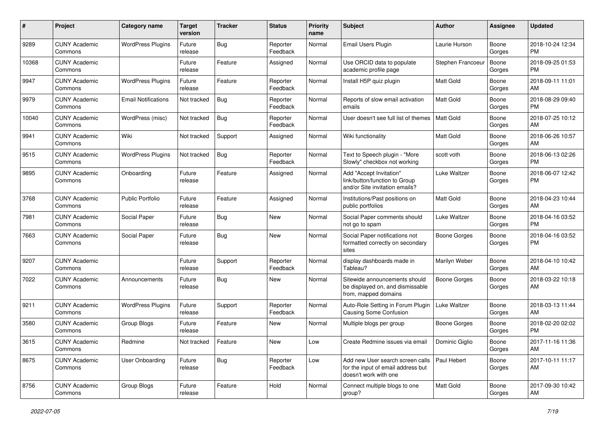| #     | Project                         | <b>Category name</b>       | <b>Target</b><br>version | <b>Tracker</b> | <b>Status</b>        | <b>Priority</b><br>name | <b>Subject</b>                                                                                  | <b>Author</b>     | <b>Assignee</b> | <b>Updated</b>                |
|-------|---------------------------------|----------------------------|--------------------------|----------------|----------------------|-------------------------|-------------------------------------------------------------------------------------------------|-------------------|-----------------|-------------------------------|
| 9289  | <b>CUNY Academic</b><br>Commons | <b>WordPress Plugins</b>   | Future<br>release        | <b>Bug</b>     | Reporter<br>Feedback | Normal                  | Email Users Plugin                                                                              | Laurie Hurson     | Boone<br>Gorges | 2018-10-24 12:34<br>PM.       |
| 10368 | <b>CUNY Academic</b><br>Commons |                            | Future<br>release        | Feature        | Assigned             | Normal                  | Use ORCID data to populate<br>academic profile page                                             | Stephen Francoeur | Boone<br>Gorges | 2018-09-25 01:53<br><b>PM</b> |
| 9947  | <b>CUNY Academic</b><br>Commons | <b>WordPress Plugins</b>   | Future<br>release        | Feature        | Reporter<br>Feedback | Normal                  | Install H5P quiz plugin                                                                         | Matt Gold         | Boone<br>Gorges | 2018-09-11 11:01<br>AM        |
| 9979  | <b>CUNY Academic</b><br>Commons | <b>Email Notifications</b> | Not tracked              | Bug            | Reporter<br>Feedback | Normal                  | Reports of slow email activation<br>emails                                                      | <b>Matt Gold</b>  | Boone<br>Gorges | 2018-08-29 09:40<br><b>PM</b> |
| 10040 | <b>CUNY Academic</b><br>Commons | WordPress (misc)           | Not tracked              | <b>Bug</b>     | Reporter<br>Feedback | Normal                  | User doesn't see full list of themes                                                            | Matt Gold         | Boone<br>Gorges | 2018-07-25 10:12<br>AM        |
| 9941  | <b>CUNY Academic</b><br>Commons | Wiki                       | Not tracked              | Support        | Assigned             | Normal                  | Wiki functionality                                                                              | <b>Matt Gold</b>  | Boone<br>Gorges | 2018-06-26 10:57<br>AM        |
| 9515  | <b>CUNY Academic</b><br>Commons | <b>WordPress Plugins</b>   | Not tracked              | Bug            | Reporter<br>Feedback | Normal                  | Text to Speech plugin - "More<br>Slowly" checkbox not working                                   | scott voth        | Boone<br>Gorges | 2018-06-13 02:26<br><b>PM</b> |
| 9895  | <b>CUNY Academic</b><br>Commons | Onboarding                 | Future<br>release        | Feature        | Assigned             | Normal                  | Add "Accept Invitation"<br>link/button/function to Group<br>and/or Site invitation emails?      | Luke Waltzer      | Boone<br>Gorges | 2018-06-07 12:42<br><b>PM</b> |
| 3768  | <b>CUNY Academic</b><br>Commons | <b>Public Portfolio</b>    | Future<br>release        | Feature        | Assigned             | Normal                  | Institutions/Past positions on<br>public portfolios                                             | <b>Matt Gold</b>  | Boone<br>Gorges | 2018-04-23 10:44<br>AM        |
| 7981  | <b>CUNY Academic</b><br>Commons | Social Paper               | Future<br>release        | Bug            | New                  | Normal                  | Social Paper comments should<br>not go to spam                                                  | Luke Waltzer      | Boone<br>Gorges | 2018-04-16 03:52<br><b>PM</b> |
| 7663  | <b>CUNY Academic</b><br>Commons | Social Paper               | Future<br>release        | Bug            | New                  | Normal                  | Social Paper notifications not<br>formatted correctly on secondary<br>sites                     | Boone Gorges      | Boone<br>Gorges | 2018-04-16 03:52<br><b>PM</b> |
| 9207  | <b>CUNY Academic</b><br>Commons |                            | Future<br>release        | Support        | Reporter<br>Feedback | Normal                  | display dashboards made in<br>Tableau?                                                          | Marilyn Weber     | Boone<br>Gorges | 2018-04-10 10:42<br>AM        |
| 7022  | <b>CUNY Academic</b><br>Commons | Announcements              | Future<br>release        | Bug            | New                  | Normal                  | Sitewide announcements should<br>be displayed on, and dismissable<br>from, mapped domains       | Boone Gorges      | Boone<br>Gorges | 2018-03-22 10:18<br>AM        |
| 9211  | <b>CUNY Academic</b><br>Commons | <b>WordPress Plugins</b>   | Future<br>release        | Support        | Reporter<br>Feedback | Normal                  | Auto-Role Setting in Forum Plugin<br><b>Causing Some Confusion</b>                              | Luke Waltzer      | Boone<br>Gorges | 2018-03-13 11:44<br>AM        |
| 3580  | <b>CUNY Academic</b><br>Commons | Group Blogs                | Future<br>release        | Feature        | New                  | Normal                  | Multiple blogs per group                                                                        | Boone Gorges      | Boone<br>Gorges | 2018-02-20 02:02<br><b>PM</b> |
| 3615  | <b>CUNY Academic</b><br>Commons | Redmine                    | Not tracked              | Feature        | New                  | Low                     | Create Redmine issues via email                                                                 | Dominic Giglio    | Boone<br>Gorges | 2017-11-16 11:36<br>AM        |
| 8675  | <b>CUNY Academic</b><br>Commons | User Onboarding            | Future<br>release        | <b>Bug</b>     | Reporter<br>Feedback | Low                     | Add new User search screen calls<br>for the input of email address but<br>doesn't work with one | Paul Hebert       | Boone<br>Gorges | 2017-10-11 11:17<br>AM        |
| 8756  | <b>CUNY Academic</b><br>Commons | Group Blogs                | Future<br>release        | Feature        | Hold                 | Normal                  | Connect multiple blogs to one<br>group?                                                         | Matt Gold         | Boone<br>Gorges | 2017-09-30 10:42<br>AM        |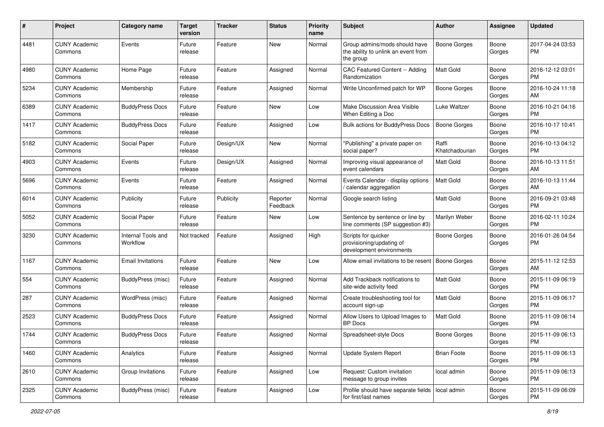| #    | Project                         | <b>Category name</b>           | <b>Target</b><br>version | <b>Tracker</b> | <b>Status</b>        | Priority<br>name | <b>Subject</b>                                                                    | Author                  | <b>Assignee</b> | <b>Updated</b>                |
|------|---------------------------------|--------------------------------|--------------------------|----------------|----------------------|------------------|-----------------------------------------------------------------------------------|-------------------------|-----------------|-------------------------------|
| 4481 | <b>CUNY Academic</b><br>Commons | Events                         | Future<br>release        | Feature        | New                  | Normal           | Group admins/mods should have<br>the ability to unlink an event from<br>the group | <b>Boone Gorges</b>     | Boone<br>Gorges | 2017-04-24 03:53<br><b>PM</b> |
| 4980 | <b>CUNY Academic</b><br>Commons | Home Page                      | Future<br>release        | Feature        | Assigned             | Normal           | CAC Featured Content -- Adding<br>Randomization                                   | <b>Matt Gold</b>        | Boone<br>Gorges | 2016-12-12 03:01<br>PM.       |
| 5234 | <b>CUNY Academic</b><br>Commons | Membership                     | Future<br>release        | Feature        | Assigned             | Normal           | Write Unconfirmed patch for WP                                                    | <b>Boone Gorges</b>     | Boone<br>Gorges | 2016-10-24 11:18<br>AM        |
| 6389 | <b>CUNY Academic</b><br>Commons | <b>BuddyPress Docs</b>         | Future<br>release        | Feature        | New                  | Low              | Make Discussion Area Visible<br>When Editing a Doc                                | Luke Waltzer            | Boone<br>Gorges | 2016-10-21 04:16<br><b>PM</b> |
| 1417 | <b>CUNY Academic</b><br>Commons | <b>BuddyPress Docs</b>         | Future<br>release        | Feature        | Assigned             | Low              | <b>Bulk actions for BuddyPress Docs</b>                                           | Boone Gorges            | Boone<br>Gorges | 2016-10-17 10:41<br><b>PM</b> |
| 5182 | <b>CUNY Academic</b><br>Commons | Social Paper                   | Future<br>release        | Design/UX      | New                  | Normal           | "Publishing" a private paper on<br>social paper?                                  | Raffi<br>Khatchadourian | Boone<br>Gorges | 2016-10-13 04:12<br><b>PM</b> |
| 4903 | <b>CUNY Academic</b><br>Commons | Events                         | Future<br>release        | Design/UX      | Assigned             | Normal           | Improving visual appearance of<br>event calendars                                 | <b>Matt Gold</b>        | Boone<br>Gorges | 2016-10-13 11:51<br>AM        |
| 5696 | <b>CUNY Academic</b><br>Commons | Events                         | Future<br>release        | Feature        | Assigned             | Normal           | Events Calendar - display options<br>/ calendar aggregation                       | <b>Matt Gold</b>        | Boone<br>Gorges | 2016-10-13 11:44<br>AM        |
| 6014 | <b>CUNY Academic</b><br>Commons | Publicity                      | Future<br>release        | Publicity      | Reporter<br>Feedback | Normal           | Google search listing                                                             | <b>Matt Gold</b>        | Boone<br>Gorges | 2016-09-21 03:48<br><b>PM</b> |
| 5052 | <b>CUNY Academic</b><br>Commons | Social Paper                   | Future<br>release        | Feature        | New                  | Low              | Sentence by sentence or line by<br>line comments (SP suggestion #3)               | Marilyn Weber           | Boone<br>Gorges | 2016-02-11 10:24<br><b>PM</b> |
| 3230 | <b>CUNY Academic</b><br>Commons | Internal Tools and<br>Workflow | Not tracked              | Feature        | Assigned             | High             | Scripts for quicker<br>provisioning/updating of<br>development environments       | Boone Gorges            | Boone<br>Gorges | 2016-01-26 04:54<br>PM        |
| 1167 | <b>CUNY Academic</b><br>Commons | Email Invitations              | Future<br>release        | Feature        | New                  | Low              | Allow email invitations to be resent                                              | Boone Gorges            | Boone<br>Gorges | 2015-11-12 12:53<br>AM        |
| 554  | <b>CUNY Academic</b><br>Commons | BuddyPress (misc)              | Future<br>release        | Feature        | Assigned             | Normal           | Add Trackback notifications to<br>site-wide activity feed                         | Matt Gold               | Boone<br>Gorges | 2015-11-09 06:19<br>PM        |
| 287  | <b>CUNY Academic</b><br>Commons | WordPress (misc)               | Future<br>release        | Feature        | Assigned             | Normal           | Create troubleshooting tool for<br>account sign-up                                | <b>Matt Gold</b>        | Boone<br>Gorges | 2015-11-09 06:17<br><b>PM</b> |
| 2523 | <b>CUNY Academic</b><br>Commons | <b>BuddyPress Docs</b>         | Future<br>release        | Feature        | Assigned             | Normal           | Allow Users to Upload Images to<br><b>BP</b> Docs                                 | <b>Matt Gold</b>        | Boone<br>Gorges | 2015-11-09 06:14<br><b>PM</b> |
| 1744 | <b>CUNY Academic</b><br>Commons | <b>BuddyPress Docs</b>         | Future<br>release        | Feature        | Assigned             | Normal           | Spreadsheet-style Docs                                                            | <b>Boone Gorges</b>     | Boone<br>Gorges | 2015-11-09 06:13<br>PM        |
| 1460 | <b>CUNY Academic</b><br>Commons | Analytics                      | Future<br>release        | Feature        | Assigned             | Normal           | Update System Report                                                              | <b>Brian Foote</b>      | Boone<br>Gorges | 2015-11-09 06:13<br><b>PM</b> |
| 2610 | <b>CUNY Academic</b><br>Commons | Group Invitations              | Future<br>release        | Feature        | Assigned             | Low              | Request: Custom invitation<br>message to group invites                            | local admin             | Boone<br>Gorges | 2015-11-09 06:13<br><b>PM</b> |
| 2325 | <b>CUNY Academic</b><br>Commons | BuddyPress (misc)              | Future<br>release        | Feature        | Assigned             | Low              | Profile should have separate fields   local admin<br>for first/last names         |                         | Boone<br>Gorges | 2015-11-09 06:09<br><b>PM</b> |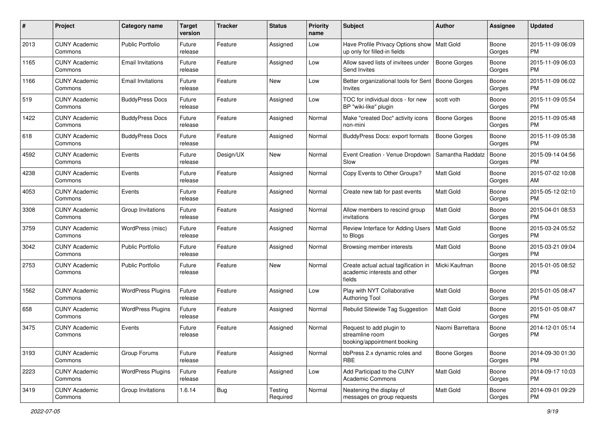| #    | Project                         | <b>Category name</b>     | <b>Target</b><br>version | <b>Tracker</b> | <b>Status</b>       | <b>Priority</b><br>name | <b>Subject</b>                                                                 | Author              | <b>Assignee</b> | <b>Updated</b>                |
|------|---------------------------------|--------------------------|--------------------------|----------------|---------------------|-------------------------|--------------------------------------------------------------------------------|---------------------|-----------------|-------------------------------|
| 2013 | <b>CUNY Academic</b><br>Commons | <b>Public Portfolio</b>  | Future<br>release        | Feature        | Assigned            | Low                     | Have Profile Privacy Options show<br>up only for filled-in fields              | Matt Gold           | Boone<br>Gorges | 2015-11-09 06:09<br>PM        |
| 1165 | <b>CUNY Academic</b><br>Commons | <b>Email Invitations</b> | Future<br>release        | Feature        | Assigned            | Low                     | Allow saved lists of invitees under<br>Send Invites                            | <b>Boone Gorges</b> | Boone<br>Gorges | 2015-11-09 06:03<br><b>PM</b> |
| 1166 | <b>CUNY Academic</b><br>Commons | <b>Email Invitations</b> | Future<br>release        | Feature        | New                 | Low                     | Better organizational tools for Sent<br>Invites                                | <b>Boone Gorges</b> | Boone<br>Gorges | 2015-11-09 06:02<br><b>PM</b> |
| 519  | <b>CUNY Academic</b><br>Commons | <b>BuddyPress Docs</b>   | Future<br>release        | Feature        | Assigned            | Low                     | TOC for individual docs - for new<br>BP "wiki-like" plugin                     | scott voth          | Boone<br>Gorges | 2015-11-09 05:54<br><b>PM</b> |
| 1422 | <b>CUNY Academic</b><br>Commons | <b>BuddyPress Docs</b>   | Future<br>release        | Feature        | Assigned            | Normal                  | Make "created Doc" activity icons<br>non-mini                                  | Boone Gorges        | Boone<br>Gorges | 2015-11-09 05:48<br><b>PM</b> |
| 618  | <b>CUNY Academic</b><br>Commons | <b>BuddyPress Docs</b>   | Future<br>release        | Feature        | Assigned            | Normal                  | <b>BuddyPress Docs: export formats</b>                                         | <b>Boone Gorges</b> | Boone<br>Gorges | 2015-11-09 05:38<br><b>PM</b> |
| 4592 | <b>CUNY Academic</b><br>Commons | Events                   | Future<br>release        | Design/UX      | New                 | Normal                  | Event Creation - Venue Dropdown<br>Slow                                        | Samantha Raddatz    | Boone<br>Gorges | 2015-09-14 04:56<br><b>PM</b> |
| 4238 | <b>CUNY Academic</b><br>Commons | Events                   | Future<br>release        | Feature        | Assigned            | Normal                  | Copy Events to Other Groups?                                                   | <b>Matt Gold</b>    | Boone<br>Gorges | 2015-07-02 10:08<br>AM        |
| 4053 | <b>CUNY Academic</b><br>Commons | Events                   | Future<br>release        | Feature        | Assigned            | Normal                  | Create new tab for past events                                                 | <b>Matt Gold</b>    | Boone<br>Gorges | 2015-05-12 02:10<br><b>PM</b> |
| 3308 | <b>CUNY Academic</b><br>Commons | Group Invitations        | Future<br>release        | Feature        | Assigned            | Normal                  | Allow members to rescind group<br>invitations                                  | Matt Gold           | Boone<br>Gorges | 2015-04-01 08:53<br><b>PM</b> |
| 3759 | <b>CUNY Academic</b><br>Commons | WordPress (misc)         | Future<br>release        | Feature        | Assigned            | Normal                  | Review Interface for Adding Users<br>to Blogs                                  | Matt Gold           | Boone<br>Gorges | 2015-03-24 05:52<br><b>PM</b> |
| 3042 | <b>CUNY Academic</b><br>Commons | Public Portfolio         | Future<br>release        | Feature        | Assigned            | Normal                  | Browsing member interests                                                      | <b>Matt Gold</b>    | Boone<br>Gorges | 2015-03-21 09:04<br><b>PM</b> |
| 2753 | <b>CUNY Academic</b><br>Commons | <b>Public Portfolio</b>  | Future<br>release        | Feature        | New                 | Normal                  | Create actual actual tagification in<br>academic interests and other<br>fields | Micki Kaufman       | Boone<br>Gorges | 2015-01-05 08:52<br><b>PM</b> |
| 1562 | <b>CUNY Academic</b><br>Commons | <b>WordPress Plugins</b> | Future<br>release        | Feature        | Assigned            | Low                     | Play with NYT Collaborative<br><b>Authoring Tool</b>                           | Matt Gold           | Boone<br>Gorges | 2015-01-05 08:47<br><b>PM</b> |
| 658  | <b>CUNY Academic</b><br>Commons | <b>WordPress Plugins</b> | Future<br>release        | Feature        | Assigned            | Normal                  | Rebulid Sitewide Tag Suggestion                                                | <b>Matt Gold</b>    | Boone<br>Gorges | 2015-01-05 08:47<br><b>PM</b> |
| 3475 | <b>CUNY Academic</b><br>Commons | Events                   | Future<br>release        | Feature        | Assigned            | Normal                  | Request to add plugin to<br>streamline room<br>booking/appointment booking     | Naomi Barrettara    | Boone<br>Gorges | 2014-12-01 05:14<br><b>PM</b> |
| 3193 | <b>CUNY Academic</b><br>Commons | Group Forums             | Future<br>release        | Feature        | Assigned            | Normal                  | bbPress 2.x dynamic roles and<br>RBE                                           | <b>Boone Gorges</b> | Boone<br>Gorges | 2014-09-30 01:30<br><b>PM</b> |
| 2223 | <b>CUNY Academic</b><br>Commons | <b>WordPress Plugins</b> | Future<br>release        | Feature        | Assigned            | Low                     | Add Participad to the CUNY<br><b>Academic Commons</b>                          | Matt Gold           | Boone<br>Gorges | 2014-09-17 10:03<br><b>PM</b> |
| 3419 | <b>CUNY Academic</b><br>Commons | Group Invitations        | 1.6.14                   | <b>Bug</b>     | Testing<br>Required | Normal                  | Neatening the display of<br>messages on group requests                         | Matt Gold           | Boone<br>Gorges | 2014-09-01 09:29<br><b>PM</b> |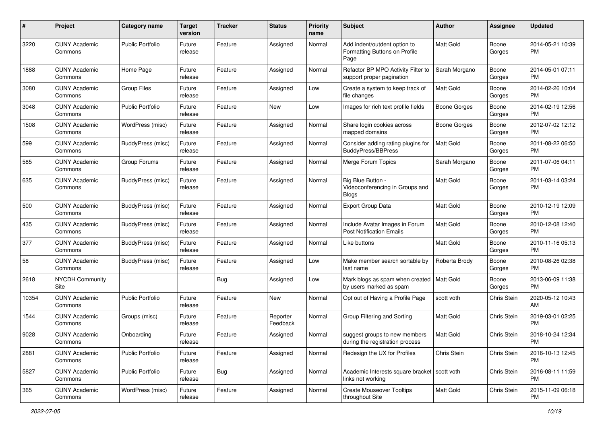| #     | Project                         | <b>Category name</b>     | <b>Target</b><br>version | <b>Tracker</b> | <b>Status</b>        | <b>Priority</b><br>name | <b>Subject</b>                                                        | Author           | <b>Assignee</b> | <b>Updated</b>                |
|-------|---------------------------------|--------------------------|--------------------------|----------------|----------------------|-------------------------|-----------------------------------------------------------------------|------------------|-----------------|-------------------------------|
| 3220  | <b>CUNY Academic</b><br>Commons | <b>Public Portfolio</b>  | Future<br>release        | Feature        | Assigned             | Normal                  | Add indent/outdent option to<br>Formatting Buttons on Profile<br>Page | Matt Gold        | Boone<br>Gorges | 2014-05-21 10:39<br>PM.       |
| 1888  | <b>CUNY Academic</b><br>Commons | Home Page                | Future<br>release        | Feature        | Assigned             | Normal                  | Refactor BP MPO Activity Filter to<br>support proper pagination       | Sarah Morgano    | Boone<br>Gorges | 2014-05-01 07:11<br>PM.       |
| 3080  | <b>CUNY Academic</b><br>Commons | <b>Group Files</b>       | Future<br>release        | Feature        | Assigned             | Low                     | Create a system to keep track of<br>file changes                      | <b>Matt Gold</b> | Boone<br>Gorges | 2014-02-26 10:04<br><b>PM</b> |
| 3048  | <b>CUNY Academic</b><br>Commons | <b>Public Portfolio</b>  | Future<br>release        | Feature        | New                  | Low                     | Images for rich text profile fields                                   | Boone Gorges     | Boone<br>Gorges | 2014-02-19 12:56<br><b>PM</b> |
| 1508  | <b>CUNY Academic</b><br>Commons | WordPress (misc)         | Future<br>release        | Feature        | Assigned             | Normal                  | Share login cookies across<br>mapped domains                          | Boone Gorges     | Boone<br>Gorges | 2012-07-02 12:12<br>PM        |
| 599   | <b>CUNY Academic</b><br>Commons | BuddyPress (misc)        | Future<br>release        | Feature        | Assigned             | Normal                  | Consider adding rating plugins for<br><b>BuddyPress/BBPress</b>       | <b>Matt Gold</b> | Boone<br>Gorges | 2011-08-22 06:50<br><b>PM</b> |
| 585   | <b>CUNY Academic</b><br>Commons | Group Forums             | Future<br>release        | Feature        | Assigned             | Normal                  | Merge Forum Topics                                                    | Sarah Morgano    | Boone<br>Gorges | 2011-07-06 04:11<br><b>PM</b> |
| 635   | <b>CUNY Academic</b><br>Commons | BuddyPress (misc)        | Future<br>release        | Feature        | Assigned             | Normal                  | Big Blue Button -<br>Videoconferencing in Groups and<br><b>Blogs</b>  | <b>Matt Gold</b> | Boone<br>Gorges | 2011-03-14 03:24<br><b>PM</b> |
| 500   | <b>CUNY Academic</b><br>Commons | <b>BuddyPress</b> (misc) | Future<br>release        | Feature        | Assigned             | Normal                  | Export Group Data                                                     | Matt Gold        | Boone<br>Gorges | 2010-12-19 12:09<br><b>PM</b> |
| 435   | <b>CUNY Academic</b><br>Commons | BuddyPress (misc)        | Future<br>release        | Feature        | Assigned             | Normal                  | Include Avatar Images in Forum<br><b>Post Notification Emails</b>     | <b>Matt Gold</b> | Boone<br>Gorges | 2010-12-08 12:40<br><b>PM</b> |
| 377   | <b>CUNY Academic</b><br>Commons | <b>BuddyPress</b> (misc) | Future<br>release        | Feature        | Assigned             | Normal                  | Like buttons                                                          | Matt Gold        | Boone<br>Gorges | 2010-11-16 05:13<br><b>PM</b> |
| 58    | <b>CUNY Academic</b><br>Commons | BuddyPress (misc)        | Future<br>release        | Feature        | Assigned             | Low                     | Make member search sortable by<br>last name                           | Roberta Brody    | Boone<br>Gorges | 2010-08-26 02:38<br><b>PM</b> |
| 2618  | <b>NYCDH Community</b><br>Site  |                          |                          | Bug            | Assigned             | Low                     | Mark blogs as spam when created<br>by users marked as spam            | Matt Gold        | Boone<br>Gorges | 2013-06-09 11:38<br>PM.       |
| 10354 | <b>CUNY Academic</b><br>Commons | <b>Public Portfolio</b>  | Future<br>release        | Feature        | New                  | Normal                  | Opt out of Having a Profile Page                                      | scott voth       | Chris Stein     | 2020-05-12 10:43<br>AM        |
| 1544  | <b>CUNY Academic</b><br>Commons | Groups (misc)            | Future<br>release        | Feature        | Reporter<br>Feedback | Normal                  | Group Filtering and Sorting                                           | Matt Gold        | Chris Stein     | 2019-03-01 02:25<br><b>PM</b> |
| 9028  | <b>CUNY Academic</b><br>Commons | Onboarding               | Future<br>release        | Feature        | Assigned             | Normal                  | suggest groups to new members<br>during the registration process      | <b>Matt Gold</b> | Chris Stein     | 2018-10-24 12:34<br>PM        |
| 2881  | <b>CUNY Academic</b><br>Commons | <b>Public Portfolio</b>  | Future<br>release        | Feature        | Assigned             | Normal                  | Redesign the UX for Profiles                                          | Chris Stein      | Chris Stein     | 2016-10-13 12:45<br><b>PM</b> |
| 5827  | <b>CUNY Academic</b><br>Commons | <b>Public Portfolio</b>  | Future<br>release        | Bug            | Assigned             | Normal                  | Academic Interests square bracket   scott voth<br>links not working   |                  | Chris Stein     | 2016-08-11 11:59<br><b>PM</b> |
| 365   | <b>CUNY Academic</b><br>Commons | WordPress (misc)         | Future<br>release        | Feature        | Assigned             | Normal                  | <b>Create Mouseover Tooltips</b><br>throughout Site                   | Matt Gold        | Chris Stein     | 2015-11-09 06:18<br><b>PM</b> |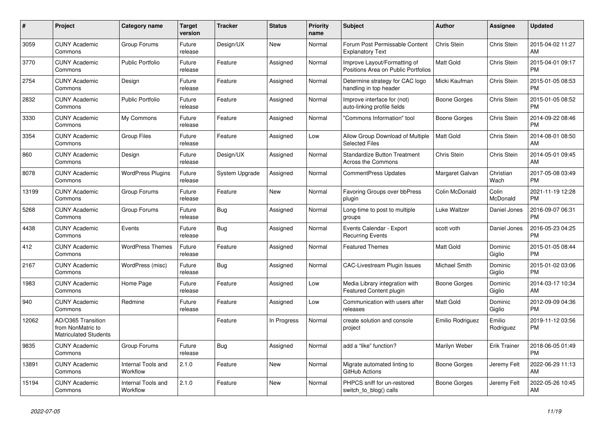| #     | Project                                                                 | <b>Category name</b>                  | <b>Target</b><br>version | <b>Tracker</b> | <b>Status</b> | <b>Priority</b><br>name | <b>Subject</b>                                                      | <b>Author</b>        | Assignee            | <b>Updated</b>                |
|-------|-------------------------------------------------------------------------|---------------------------------------|--------------------------|----------------|---------------|-------------------------|---------------------------------------------------------------------|----------------------|---------------------|-------------------------------|
| 3059  | <b>CUNY Academic</b><br>Commons                                         | Group Forums                          | Future<br>release        | Design/UX      | <b>New</b>    | Normal                  | Forum Post Permissable Content<br><b>Explanatory Text</b>           | Chris Stein          | Chris Stein         | 2015-04-02 11:27<br>AM        |
| 3770  | <b>CUNY Academic</b><br>Commons                                         | <b>Public Portfolio</b>               | Future<br>release        | Feature        | Assigned      | Normal                  | Improve Layout/Formatting of<br>Positions Area on Public Portfolios | Matt Gold            | Chris Stein         | 2015-04-01 09:17<br><b>PM</b> |
| 2754  | <b>CUNY Academic</b><br>Commons                                         | Design                                | Future<br>release        | Feature        | Assigned      | Normal                  | Determine strategy for CAC logo<br>handling in top header           | Micki Kaufman        | Chris Stein         | 2015-01-05 08:53<br><b>PM</b> |
| 2832  | <b>CUNY Academic</b><br>Commons                                         | <b>Public Portfolio</b>               | Future<br>release        | Feature        | Assigned      | Normal                  | Improve interface for (not)<br>auto-linking profile fields          | Boone Gorges         | Chris Stein         | 2015-01-05 08:52<br><b>PM</b> |
| 3330  | <b>CUNY Academic</b><br>Commons                                         | My Commons                            | Future<br>release        | Feature        | Assigned      | Normal                  | "Commons Information" tool                                          | Boone Gorges         | Chris Stein         | 2014-09-22 08:46<br><b>PM</b> |
| 3354  | <b>CUNY Academic</b><br>Commons                                         | <b>Group Files</b>                    | Future<br>release        | Feature        | Assigned      | Low                     | Allow Group Download of Multiple<br><b>Selected Files</b>           | <b>Matt Gold</b>     | Chris Stein         | 2014-08-01 08:50<br>AM        |
| 860   | <b>CUNY Academic</b><br>Commons                                         | Design                                | Future<br>release        | Design/UX      | Assigned      | Normal                  | <b>Standardize Button Treatment</b><br><b>Across the Commons</b>    | Chris Stein          | Chris Stein         | 2014-05-01 09:45<br>AM        |
| 8078  | <b>CUNY Academic</b><br>Commons                                         | <b>WordPress Plugins</b>              | Future<br>release        | System Upgrade | Assigned      | Normal                  | <b>CommentPress Updates</b>                                         | Margaret Galvan      | Christian<br>Wach   | 2017-05-08 03:49<br><b>PM</b> |
| 13199 | <b>CUNY Academic</b><br>Commons                                         | Group Forums                          | Future<br>release        | Feature        | New           | Normal                  | Favoring Groups over bbPress<br>plugin                              | Colin McDonald       | Colin<br>McDonald   | 2021-11-19 12:28<br><b>PM</b> |
| 5268  | <b>CUNY Academic</b><br>Commons                                         | Group Forums                          | Future<br>release        | Bug            | Assigned      | Normal                  | Long-time to post to multiple<br>groups                             | Luke Waltzer         | Daniel Jones        | 2016-09-07 06:31<br><b>PM</b> |
| 4438  | <b>CUNY Academic</b><br>Commons                                         | Events                                | Future<br>release        | Bug            | Assigned      | Normal                  | Events Calendar - Export<br><b>Recurring Events</b>                 | scott voth           | Daniel Jones        | 2016-05-23 04:25<br><b>PM</b> |
| 412   | <b>CUNY Academic</b><br>Commons                                         | <b>WordPress Themes</b>               | Future<br>release        | Feature        | Assigned      | Normal                  | <b>Featured Themes</b>                                              | Matt Gold            | Dominic<br>Giglio   | 2015-01-05 08:44<br><b>PM</b> |
| 2167  | <b>CUNY Academic</b><br>Commons                                         | WordPress (misc)                      | Future<br>release        | Bug            | Assigned      | Normal                  | <b>CAC-Livestream Plugin Issues</b>                                 | <b>Michael Smith</b> | Dominic<br>Giglio   | 2015-01-02 03:06<br><b>PM</b> |
| 1983  | <b>CUNY Academic</b><br>Commons                                         | Home Page                             | Future<br>release        | Feature        | Assigned      | Low                     | Media Library integration with<br>Featured Content plugin           | Boone Gorges         | Dominic<br>Giglio   | 2014-03-17 10:34<br>AM        |
| 940   | <b>CUNY Academic</b><br>Commons                                         | Redmine                               | Future<br>release        | Feature        | Assigned      | Low                     | Communication with users after<br>releases                          | Matt Gold            | Dominic<br>Giglio   | 2012-09-09 04:36<br><b>PM</b> |
| 12062 | AD/O365 Transition<br>from NonMatric to<br><b>Matriculated Students</b> |                                       |                          | Feature        | In Progress   | Normal                  | create solution and console<br>project                              | Emilio Rodriguez     | Emilio<br>Rodriguez | 2019-11-12 03:56<br><b>PM</b> |
| 9835  | <b>CUNY Academic</b><br>Commons                                         | Group Forums                          | Future<br>release        | Bug            | Assigned      | Normal                  | add a "like" function?                                              | Marilyn Weber        | Erik Trainer        | 2018-06-05 01:49<br><b>PM</b> |
| 13891 | <b>CUNY Academic</b><br>Commons                                         | <b>Internal Tools and</b><br>Workflow | 2.1.0                    | Feature        | New           | Normal                  | Migrate automated linting to<br>GitHub Actions                      | Boone Gorges         | Jeremy Felt         | 2022-06-29 11:13<br>AM        |
| 15194 | CUNY Academic<br>Commons                                                | Internal Tools and<br>Workflow        | 2.1.0                    | Feature        | <b>New</b>    | Normal                  | PHPCS sniff for un-restored<br>switch_to_blog() calls               | Boone Gorges         | Jeremy Felt         | 2022-05-26 10:45<br>AM        |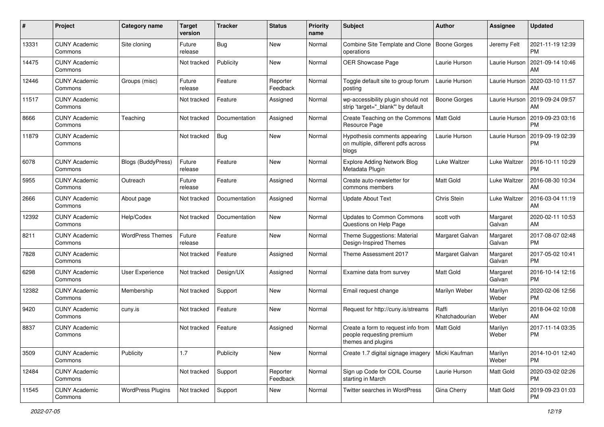| #     | Project                         | <b>Category name</b>      | <b>Target</b><br>version | <b>Tracker</b> | <b>Status</b>        | <b>Priority</b><br>name | <b>Subject</b>                                                                        | Author                  | <b>Assignee</b>    | <b>Updated</b>                |
|-------|---------------------------------|---------------------------|--------------------------|----------------|----------------------|-------------------------|---------------------------------------------------------------------------------------|-------------------------|--------------------|-------------------------------|
| 13331 | <b>CUNY Academic</b><br>Commons | Site cloning              | Future<br>release        | <b>Bug</b>     | <b>New</b>           | Normal                  | Combine Site Template and Clone<br>operations                                         | <b>Boone Gorges</b>     | Jeremy Felt        | 2021-11-19 12:39<br>PM        |
| 14475 | <b>CUNY Academic</b><br>Commons |                           | Not tracked              | Publicity      | New                  | Normal                  | OER Showcase Page                                                                     | Laurie Hurson           | Laurie Hurson      | 2021-09-14 10:46<br>AM        |
| 12446 | <b>CUNY Academic</b><br>Commons | Groups (misc)             | Future<br>release        | Feature        | Reporter<br>Feedback | Normal                  | Toggle default site to group forum<br>posting                                         | Laurie Hurson           | Laurie Hurson      | 2020-03-10 11:57<br>AM        |
| 11517 | <b>CUNY Academic</b><br>Commons |                           | Not tracked              | Feature        | Assigned             | Normal                  | wp-accessibility plugin should not<br>strip 'target=" blank" by default               | Boone Gorges            | Laurie Hurson      | 2019-09-24 09:57<br>AM        |
| 8666  | <b>CUNY Academic</b><br>Commons | Teaching                  | Not tracked              | Documentation  | Assigned             | Normal                  | Create Teaching on the Commons<br>Resource Page                                       | Matt Gold               | Laurie Hurson      | 2019-09-23 03:16<br><b>PM</b> |
| 11879 | <b>CUNY Academic</b><br>Commons |                           | Not tracked              | <b>Bug</b>     | New                  | Normal                  | Hypothesis comments appearing<br>on multiple, different pdfs across<br>blogs          | Laurie Hurson           | Laurie Hurson      | 2019-09-19 02:39<br><b>PM</b> |
| 6078  | <b>CUNY Academic</b><br>Commons | <b>Blogs (BuddyPress)</b> | Future<br>release        | Feature        | New                  | Normal                  | <b>Explore Adding Network Blog</b><br>Metadata Plugin                                 | Luke Waltzer            | Luke Waltzer       | 2016-10-11 10:29<br><b>PM</b> |
| 5955  | <b>CUNY Academic</b><br>Commons | Outreach                  | Future<br>release        | Feature        | Assigned             | Normal                  | Create auto-newsletter for<br>commons members                                         | <b>Matt Gold</b>        | Luke Waltzer       | 2016-08-30 10:34<br>AM        |
| 2666  | <b>CUNY Academic</b><br>Commons | About page                | Not tracked              | Documentation  | Assigned             | Normal                  | <b>Update About Text</b>                                                              | Chris Stein             | Luke Waltzer       | 2016-03-04 11:19<br>AM        |
| 12392 | <b>CUNY Academic</b><br>Commons | Help/Codex                | Not tracked              | Documentation  | New                  | Normal                  | <b>Updates to Common Commons</b><br>Questions on Help Page                            | scott voth              | Margaret<br>Galvan | 2020-02-11 10:53<br>AM        |
| 8211  | <b>CUNY Academic</b><br>Commons | <b>WordPress Themes</b>   | Future<br>release        | Feature        | New                  | Normal                  | Theme Suggestions: Material<br>Design-Inspired Themes                                 | Margaret Galvan         | Margaret<br>Galvan | 2017-08-07 02:48<br><b>PM</b> |
| 7828  | <b>CUNY Academic</b><br>Commons |                           | Not tracked              | Feature        | Assigned             | Normal                  | Theme Assessment 2017                                                                 | Margaret Galvan         | Margaret<br>Galvan | 2017-05-02 10:41<br><b>PM</b> |
| 6298  | <b>CUNY Academic</b><br>Commons | <b>User Experience</b>    | Not tracked              | Design/UX      | Assigned             | Normal                  | Examine data from survey                                                              | <b>Matt Gold</b>        | Margaret<br>Galvan | 2016-10-14 12:16<br><b>PM</b> |
| 12382 | <b>CUNY Academic</b><br>Commons | Membership                | Not tracked              | Support        | New                  | Normal                  | Email request change                                                                  | Marilyn Weber           | Marilyn<br>Weber   | 2020-02-06 12:56<br><b>PM</b> |
| 9420  | <b>CUNY Academic</b><br>Commons | cuny.is                   | Not tracked              | Feature        | New                  | Normal                  | Request for http://cuny.is/streams                                                    | Raffi<br>Khatchadourian | Marilyn<br>Weber   | 2018-04-02 10:08<br>AM        |
| 8837  | <b>CUNY Academic</b><br>Commons |                           | Not tracked              | Feature        | Assigned             | Normal                  | Create a form to request info from<br>people requesting premium<br>themes and plugins | <b>Matt Gold</b>        | Marilyn<br>Weber   | 2017-11-14 03:35<br><b>PM</b> |
| 3509  | <b>CUNY Academic</b><br>Commons | Publicity                 | 1.7                      | Publicity      | New                  | Normal                  | Create 1.7 digital signage imagery                                                    | Micki Kaufman           | Marilyn<br>Weber   | 2014-10-01 12:40<br><b>PM</b> |
| 12484 | <b>CUNY Academic</b><br>Commons |                           | Not tracked              | Support        | Reporter<br>Feedback | Normal                  | Sign up Code for COIL Course<br>starting in March                                     | Laurie Hurson           | Matt Gold          | 2020-03-02 02:26<br><b>PM</b> |
| 11545 | <b>CUNY Academic</b><br>Commons | <b>WordPress Plugins</b>  | Not tracked              | Support        | New                  | Normal                  | Twitter searches in WordPress                                                         | Gina Cherry             | Matt Gold          | 2019-09-23 01:03<br>PM        |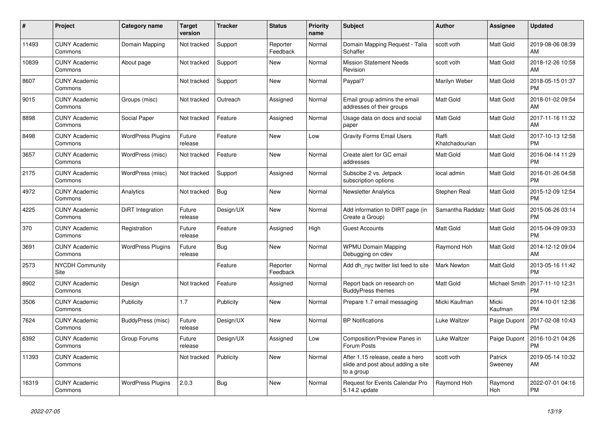| #     | Project                         | Category name            | <b>Target</b><br>version | Tracker    | <b>Status</b>        | <b>Priority</b><br>name | <b>Subject</b>                                                                       | <b>Author</b>           | <b>Assignee</b>    | <b>Updated</b>                |
|-------|---------------------------------|--------------------------|--------------------------|------------|----------------------|-------------------------|--------------------------------------------------------------------------------------|-------------------------|--------------------|-------------------------------|
| 11493 | <b>CUNY Academic</b><br>Commons | Domain Mapping           | Not tracked              | Support    | Reporter<br>Feedback | Normal                  | Domain Mapping Request - Talia<br>Schaffer                                           | scott voth              | <b>Matt Gold</b>   | 2019-08-06 08:39<br>AM        |
| 10839 | <b>CUNY Academic</b><br>Commons | About page               | Not tracked              | Support    | New                  | Normal                  | <b>Mission Statement Needs</b><br>Revision                                           | scott voth              | <b>Matt Gold</b>   | 2018-12-26 10:58<br>AM        |
| 8607  | <b>CUNY Academic</b><br>Commons |                          | Not tracked              | Support    | <b>New</b>           | Normal                  | Paypal?                                                                              | Marilyn Weber           | Matt Gold          | 2018-05-15 01:37<br><b>PM</b> |
| 9015  | <b>CUNY Academic</b><br>Commons | Groups (misc)            | Not tracked              | Outreach   | Assigned             | Normal                  | Email group admins the email<br>addresses of their groups                            | Matt Gold               | Matt Gold          | 2018-01-02 09:54<br>AM        |
| 8898  | <b>CUNY Academic</b><br>Commons | Social Paper             | Not tracked              | Feature    | Assigned             | Normal                  | Usage data on docs and social<br>paper                                               | Matt Gold               | Matt Gold          | 2017-11-16 11:32<br>AM        |
| 8498  | <b>CUNY Academic</b><br>Commons | <b>WordPress Plugins</b> | Future<br>release        | Feature    | New                  | Low                     | <b>Gravity Forms Email Users</b>                                                     | Raffi<br>Khatchadourian | Matt Gold          | 2017-10-13 12:58<br><b>PM</b> |
| 3657  | <b>CUNY Academic</b><br>Commons | WordPress (misc)         | Not tracked              | Feature    | <b>New</b>           | Normal                  | Create alert for GC email<br>addresses                                               | <b>Matt Gold</b>        | Matt Gold          | 2016-04-14 11:29<br><b>PM</b> |
| 2175  | <b>CUNY Academic</b><br>Commons | WordPress (misc)         | Not tracked              | Support    | Assigned             | Normal                  | Subscibe 2 vs. Jetpack<br>subscription options                                       | local admin             | <b>Matt Gold</b>   | 2016-01-26 04:58<br><b>PM</b> |
| 4972  | <b>CUNY Academic</b><br>Commons | Analytics                | Not tracked              | <b>Bug</b> | New                  | Normal                  | <b>Newsletter Analytics</b>                                                          | Stephen Real            | Matt Gold          | 2015-12-09 12:54<br><b>PM</b> |
| 4225  | <b>CUNY Academic</b><br>Commons | DiRT Integration         | Future<br>release        | Design/UX  | <b>New</b>           | Normal                  | Add information to DIRT page (in<br>Create a Group)                                  | Samantha Raddatz        | <b>Matt Gold</b>   | 2015-06-26 03:14<br><b>PM</b> |
| 370   | <b>CUNY Academic</b><br>Commons | Registration             | Future<br>release        | Feature    | Assigned             | High                    | <b>Guest Accounts</b>                                                                | Matt Gold               | Matt Gold          | 2015-04-09 09:33<br><b>PM</b> |
| 3691  | <b>CUNY Academic</b><br>Commons | <b>WordPress Plugins</b> | Future<br>release        | Bug        | New                  | Normal                  | <b>WPMU Domain Mapping</b><br>Debugging on cdev                                      | Raymond Hoh             | Matt Gold          | 2014-12-12 09:04<br>AM        |
| 2573  | <b>NYCDH Community</b><br>Site  |                          |                          | Feature    | Reporter<br>Feedback | Normal                  | Add dh_nyc twitter list feed to site                                                 | <b>Mark Newton</b>      | Matt Gold          | 2013-05-16 11:42<br><b>PM</b> |
| 8902  | <b>CUNY Academic</b><br>Commons | Design                   | Not tracked              | Feature    | Assigned             | Normal                  | Report back on research on<br><b>BuddyPress themes</b>                               | <b>Matt Gold</b>        | Michael Smith      | 2017-11-10 12:31<br><b>PM</b> |
| 3506  | <b>CUNY Academic</b><br>Commons | Publicity                | 1.7                      | Publicity  | New                  | Normal                  | Prepare 1.7 email messaging                                                          | Micki Kaufman           | Micki<br>Kaufman   | 2014-10-01 12:36<br><b>PM</b> |
| 7624  | <b>CUNY Academic</b><br>Commons | BuddyPress (misc)        | Future<br>release        | Design/UX  | New                  | Normal                  | <b>BP Notifications</b>                                                              | Luke Waltzer            | Paige Dupont       | 2017-02-08 10:43<br><b>PM</b> |
| 6392  | <b>CUNY Academic</b><br>Commons | Group Forums             | Future<br>release        | Design/UX  | Assigned             | Low                     | Composition/Preview Panes in<br>Forum Posts                                          | Luke Waltzer            | Paige Dupont       | 2016-10-21 04:26<br><b>PM</b> |
| 11393 | <b>CUNY Academic</b><br>Commons |                          | Not tracked              | Publicity  | <b>New</b>           | Normal                  | After 1.15 release, ceate a hero<br>slide and post about adding a site<br>to a group | scott voth              | Patrick<br>Sweeney | 2019-05-14 10:32<br>AM        |
| 16319 | <b>CUNY Academic</b><br>Commons | <b>WordPress Plugins</b> | 2.0.3                    | <b>Bug</b> | <b>New</b>           | Normal                  | Request for Events Calendar Pro<br>5.14.2 update                                     | Raymond Hoh             | Raymond<br>Hoh     | 2022-07-01 04:16<br><b>PM</b> |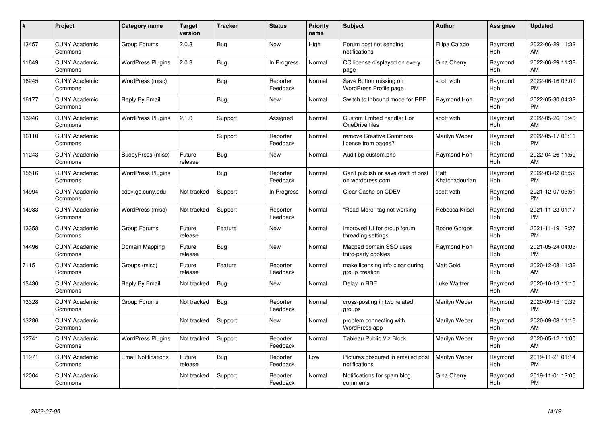| #     | Project                         | <b>Category name</b>       | <b>Target</b><br>version | <b>Tracker</b> | <b>Status</b>        | Priority<br>name | <b>Subject</b>                                          | <b>Author</b>           | <b>Assignee</b> | <b>Updated</b>                |
|-------|---------------------------------|----------------------------|--------------------------|----------------|----------------------|------------------|---------------------------------------------------------|-------------------------|-----------------|-------------------------------|
| 13457 | <b>CUNY Academic</b><br>Commons | Group Forums               | 2.0.3                    | Bug            | <b>New</b>           | High             | Forum post not sending<br>notifications                 | Filipa Calado           | Raymond<br>Hoh  | 2022-06-29 11:32<br>AM        |
| 11649 | <b>CUNY Academic</b><br>Commons | <b>WordPress Plugins</b>   | 2.0.3                    | <b>Bug</b>     | In Progress          | Normal           | CC license displayed on every<br>page                   | Gina Cherry             | Raymond<br>Hoh  | 2022-06-29 11:32<br>AM        |
| 16245 | <b>CUNY Academic</b><br>Commons | WordPress (misc)           |                          | <b>Bug</b>     | Reporter<br>Feedback | Normal           | Save Button missing on<br><b>WordPress Profile page</b> | scott voth              | Raymond<br>Hoh  | 2022-06-16 03:09<br><b>PM</b> |
| 16177 | <b>CUNY Academic</b><br>Commons | Reply By Email             |                          | Bug            | <b>New</b>           | Normal           | Switch to Inbound mode for RBE                          | Raymond Hoh             | Raymond<br>Hoh  | 2022-05-30 04:32<br><b>PM</b> |
| 13946 | <b>CUNY Academic</b><br>Commons | <b>WordPress Plugins</b>   | 2.1.0                    | Support        | Assigned             | Normal           | Custom Embed handler For<br>OneDrive files              | scott voth              | Raymond<br>Hoh  | 2022-05-26 10:46<br>AM        |
| 16110 | <b>CUNY Academic</b><br>Commons |                            |                          | Support        | Reporter<br>Feedback | Normal           | remove Creative Commons<br>license from pages?          | Marilyn Weber           | Raymond<br>Hoh  | 2022-05-17 06:11<br><b>PM</b> |
| 11243 | <b>CUNY Academic</b><br>Commons | BuddyPress (misc)          | Future<br>release        | Bug            | New                  | Normal           | Audit bp-custom.php                                     | Raymond Hoh             | Raymond<br>Hoh  | 2022-04-26 11:59<br>AM        |
| 15516 | <b>CUNY Academic</b><br>Commons | <b>WordPress Plugins</b>   |                          | Bug            | Reporter<br>Feedback | Normal           | Can't publish or save draft of post<br>on wordpress.com | Raffi<br>Khatchadourian | Raymond<br>Hoh  | 2022-03-02 05:52<br><b>PM</b> |
| 14994 | <b>CUNY Academic</b><br>Commons | cdev.gc.cuny.edu           | Not tracked              | Support        | In Progress          | Normal           | Clear Cache on CDEV                                     | scott voth              | Raymond<br>Hoh  | 2021-12-07 03:51<br><b>PM</b> |
| 14983 | <b>CUNY Academic</b><br>Commons | WordPress (misc)           | Not tracked              | Support        | Reporter<br>Feedback | Normal           | "Read More" tag not working                             | Rebecca Krisel          | Raymond<br>Hoh  | 2021-11-23 01:17<br><b>PM</b> |
| 13358 | <b>CUNY Academic</b><br>Commons | Group Forums               | Future<br>release        | Feature        | New                  | Normal           | Improved UI for group forum<br>threading settings       | Boone Gorges            | Raymond<br>Hoh  | 2021-11-19 12:27<br><b>PM</b> |
| 14496 | <b>CUNY Academic</b><br>Commons | Domain Mapping             | Future<br>release        | <b>Bug</b>     | <b>New</b>           | Normal           | Mapped domain SSO uses<br>third-party cookies           | Raymond Hoh             | Raymond<br>Hoh  | 2021-05-24 04:03<br><b>PM</b> |
| 7115  | <b>CUNY Academic</b><br>Commons | Groups (misc)              | Future<br>release        | Feature        | Reporter<br>Feedback | Normal           | make licensing info clear during<br>group creation      | Matt Gold               | Raymond<br>Hoh  | 2020-12-08 11:32<br>AM        |
| 13430 | <b>CUNY Academic</b><br>Commons | Reply By Email             | Not tracked              | Bug            | New                  | Normal           | Delay in RBE                                            | Luke Waltzer            | Raymond<br>Hoh  | 2020-10-13 11:16<br>AM        |
| 13328 | <b>CUNY Academic</b><br>Commons | Group Forums               | Not tracked              | Bug            | Reporter<br>Feedback | Normal           | cross-posting in two related<br>groups                  | Marilyn Weber           | Raymond<br>Hoh  | 2020-09-15 10:39<br><b>PM</b> |
| 13286 | <b>CUNY Academic</b><br>Commons |                            | Not tracked              | Support        | New                  | Normal           | problem connecting with<br>WordPress app                | Marilyn Weber           | Raymond<br>Hoh  | 2020-09-08 11:16<br>AM        |
| 12741 | <b>CUNY Academic</b><br>Commons | <b>WordPress Plugins</b>   | Not tracked              | Support        | Reporter<br>Feedback | Normal           | Tableau Public Viz Block                                | Marilyn Weber           | Raymond<br>Hoh  | 2020-05-12 11:00<br>AM        |
| 11971 | <b>CUNY Academic</b><br>Commons | <b>Email Notifications</b> | Future<br>release        | Bug            | Reporter<br>Feedback | Low              | Pictures obscured in emailed post<br>notifications      | Marilyn Weber           | Raymond<br>Hoh  | 2019-11-21 01:14<br><b>PM</b> |
| 12004 | CUNY Academic<br>Commons        |                            | Not tracked              | Support        | Reporter<br>Feedback | Normal           | Notifications for spam blog<br>comments                 | Gina Cherry             | Raymond<br>Hoh  | 2019-11-01 12:05<br><b>PM</b> |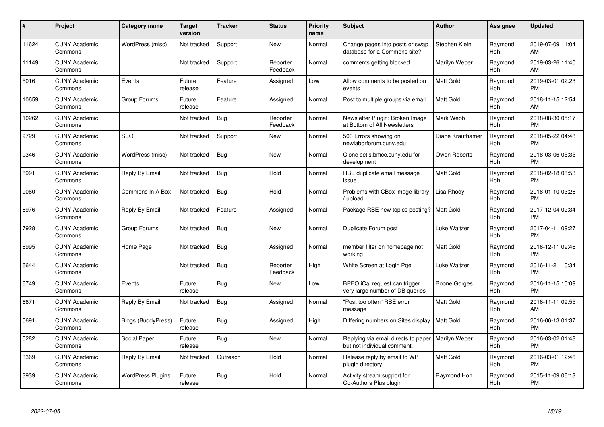| #     | <b>Project</b>                  | Category name             | Target<br>version | <b>Tracker</b> | <b>Status</b>        | <b>Priority</b><br>name | <b>Subject</b>                                                     | <b>Author</b>    | Assignee       | <b>Updated</b>                |
|-------|---------------------------------|---------------------------|-------------------|----------------|----------------------|-------------------------|--------------------------------------------------------------------|------------------|----------------|-------------------------------|
| 11624 | <b>CUNY Academic</b><br>Commons | WordPress (misc)          | Not tracked       | Support        | <b>New</b>           | Normal                  | Change pages into posts or swap<br>database for a Commons site?    | Stephen Klein    | Raymond<br>Hoh | 2019-07-09 11:04<br>AM        |
| 11149 | <b>CUNY Academic</b><br>Commons |                           | Not tracked       | Support        | Reporter<br>Feedback | Normal                  | comments getting blocked                                           | Marilyn Weber    | Raymond<br>Hoh | 2019-03-26 11:40<br>AM        |
| 5016  | <b>CUNY Academic</b><br>Commons | Events                    | Future<br>release | Feature        | Assigned             | Low                     | Allow comments to be posted on<br>events                           | Matt Gold        | Raymond<br>Hoh | 2019-03-01 02:23<br><b>PM</b> |
| 10659 | <b>CUNY Academic</b><br>Commons | Group Forums              | Future<br>release | Feature        | Assigned             | Normal                  | Post to multiple groups via email                                  | Matt Gold        | Raymond<br>Hoh | 2018-11-15 12:54<br>AM        |
| 10262 | <b>CUNY Academic</b><br>Commons |                           | Not tracked       | <b>Bug</b>     | Reporter<br>Feedback | Normal                  | Newsletter Plugin: Broken Image<br>at Bottom of All Newsletters    | Mark Webb        | Raymond<br>Hoh | 2018-08-30 05:17<br><b>PM</b> |
| 9729  | <b>CUNY Academic</b><br>Commons | <b>SEO</b>                | Not tracked       | Support        | New                  | Normal                  | 503 Errors showing on<br>newlaborforum.cuny.edu                    | Diane Krauthamer | Raymond<br>Hoh | 2018-05-22 04:48<br><b>PM</b> |
| 9346  | <b>CUNY Academic</b><br>Commons | WordPress (misc)          | Not tracked       | Bug            | <b>New</b>           | Normal                  | Clone cetls.bmcc.cuny.edu for<br>development                       | Owen Roberts     | Raymond<br>Hoh | 2018-03-06 05:35<br><b>PM</b> |
| 8991  | <b>CUNY Academic</b><br>Commons | Reply By Email            | Not tracked       | <b>Bug</b>     | Hold                 | Normal                  | RBE duplicate email message<br>issue                               | <b>Matt Gold</b> | Raymond<br>Hoh | 2018-02-18 08:53<br><b>PM</b> |
| 9060  | <b>CUNY Academic</b><br>Commons | Commons In A Box          | Not tracked       | Bug            | Hold                 | Normal                  | Problems with CBox image library<br>/ upload                       | Lisa Rhody       | Raymond<br>Hoh | 2018-01-10 03:26<br><b>PM</b> |
| 8976  | <b>CUNY Academic</b><br>Commons | Reply By Email            | Not tracked       | Feature        | Assigned             | Normal                  | Package RBE new topics posting?                                    | <b>Matt Gold</b> | Raymond<br>Hoh | 2017-12-04 02:34<br><b>PM</b> |
| 7928  | <b>CUNY Academic</b><br>Commons | Group Forums              | Not tracked       | <b>Bug</b>     | New                  | Normal                  | Duplicate Forum post                                               | Luke Waltzer     | Raymond<br>Hoh | 2017-04-11 09:27<br><b>PM</b> |
| 6995  | <b>CUNY Academic</b><br>Commons | Home Page                 | Not tracked       | <b>Bug</b>     | Assigned             | Normal                  | member filter on homepage not<br>working                           | Matt Gold        | Raymond<br>Hoh | 2016-12-11 09:46<br><b>PM</b> |
| 6644  | <b>CUNY Academic</b><br>Commons |                           | Not tracked       | Bug            | Reporter<br>Feedback | High                    | White Screen at Login Pge                                          | Luke Waltzer     | Raymond<br>Hoh | 2016-11-21 10:34<br><b>PM</b> |
| 6749  | <b>CUNY Academic</b><br>Commons | Events                    | Future<br>release | Bug            | New                  | Low                     | BPEO iCal request can trigger<br>very large number of DB queries   | Boone Gorges     | Raymond<br>Hoh | 2016-11-15 10:09<br><b>PM</b> |
| 6671  | <b>CUNY Academic</b><br>Commons | Reply By Email            | Not tracked       | Bug            | Assigned             | Normal                  | "Post too often" RBE error<br>message                              | Matt Gold        | Raymond<br>Hoh | 2016-11-11 09:55<br>AM        |
| 5691  | <b>CUNY Academic</b><br>Commons | <b>Blogs (BuddyPress)</b> | Future<br>release | Bug            | Assigned             | High                    | Differing numbers on Sites display                                 | Matt Gold        | Raymond<br>Hoh | 2016-06-13 01:37<br><b>PM</b> |
| 5282  | <b>CUNY Academic</b><br>Commons | Social Paper              | Future<br>release | Bug            | New                  | Normal                  | Replying via email directs to paper<br>but not individual comment. | Marilyn Weber    | Raymond<br>Hoh | 2016-03-02 01:48<br><b>PM</b> |
| 3369  | <b>CUNY Academic</b><br>Commons | Reply By Email            | Not tracked       | Outreach       | Hold                 | Normal                  | Release reply by email to WP<br>plugin directory                   | Matt Gold        | Raymond<br>Hoh | 2016-03-01 12:46<br><b>PM</b> |
| 3939  | <b>CUNY Academic</b><br>Commons | <b>WordPress Plugins</b>  | Future<br>release | <b>Bug</b>     | Hold                 | Normal                  | Activity stream support for<br>Co-Authors Plus plugin              | Raymond Hoh      | Raymond<br>Hoh | 2015-11-09 06:13<br>PM        |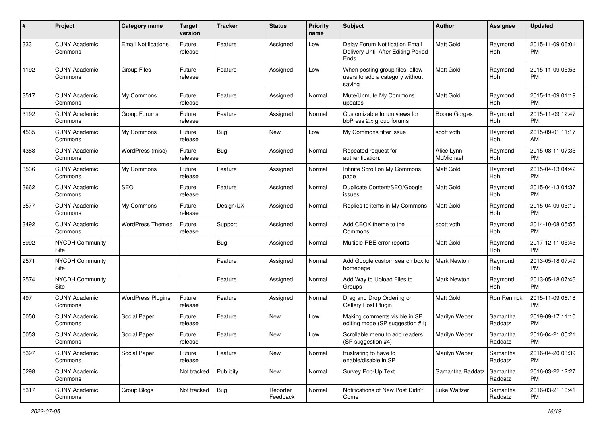| #    | Project                         | <b>Category name</b>       | <b>Target</b><br>version | Tracker    | <b>Status</b>        | <b>Priority</b><br>name | <b>Subject</b>                                                                | Author                  | Assignee              | <b>Updated</b>                |
|------|---------------------------------|----------------------------|--------------------------|------------|----------------------|-------------------------|-------------------------------------------------------------------------------|-------------------------|-----------------------|-------------------------------|
| 333  | <b>CUNY Academic</b><br>Commons | <b>Email Notifications</b> | Future<br>release        | Feature    | Assigned             | Low                     | Delay Forum Notification Email<br>Delivery Until After Editing Period<br>Ends | <b>Matt Gold</b>        | Raymond<br>Hoh        | 2015-11-09 06:01<br><b>PM</b> |
| 1192 | <b>CUNY Academic</b><br>Commons | <b>Group Files</b>         | Future<br>release        | Feature    | Assigned             | Low                     | When posting group files, allow<br>users to add a category without<br>saving  | <b>Matt Gold</b>        | Raymond<br>Hoh        | 2015-11-09 05:53<br><b>PM</b> |
| 3517 | <b>CUNY Academic</b><br>Commons | My Commons                 | Future<br>release        | Feature    | Assigned             | Normal                  | Mute/Unmute My Commons<br>updates                                             | <b>Matt Gold</b>        | Raymond<br>Hoh        | 2015-11-09 01:19<br>PM        |
| 3192 | <b>CUNY Academic</b><br>Commons | Group Forums               | Future<br>release        | Feature    | Assigned             | Normal                  | Customizable forum views for<br>bbPress 2.x group forums                      | <b>Boone Gorges</b>     | Raymond<br><b>Hoh</b> | 2015-11-09 12:47<br><b>PM</b> |
| 4535 | <b>CUNY Academic</b><br>Commons | My Commons                 | Future<br>release        | Bug        | New                  | Low                     | My Commons filter issue                                                       | scott voth              | Raymond<br>Hoh        | 2015-09-01 11:17<br>AM        |
| 4388 | <b>CUNY Academic</b><br>Commons | WordPress (misc)           | Future<br>release        | Bug        | Assigned             | Normal                  | Repeated request for<br>authentication.                                       | Alice.Lynn<br>McMichael | Raymond<br>Hoh        | 2015-08-11 07:35<br><b>PM</b> |
| 3536 | <b>CUNY Academic</b><br>Commons | My Commons                 | Future<br>release        | Feature    | Assigned             | Normal                  | Infinite Scroll on My Commons<br>page                                         | <b>Matt Gold</b>        | Raymond<br>Hoh        | 2015-04-13 04:42<br><b>PM</b> |
| 3662 | <b>CUNY Academic</b><br>Commons | <b>SEO</b>                 | Future<br>release        | Feature    | Assigned             | Normal                  | Duplicate Content/SEO/Google<br>issues                                        | Matt Gold               | Raymond<br>Hoh        | 2015-04-13 04:37<br><b>PM</b> |
| 3577 | <b>CUNY Academic</b><br>Commons | My Commons                 | Future<br>release        | Design/UX  | Assigned             | Normal                  | Replies to items in My Commons                                                | <b>Matt Gold</b>        | Raymond<br>Hoh        | 2015-04-09 05:19<br><b>PM</b> |
| 3492 | <b>CUNY Academic</b><br>Commons | <b>WordPress Themes</b>    | Future<br>release        | Support    | Assigned             | Normal                  | Add CBOX theme to the<br>Commons                                              | scott voth              | Raymond<br>Hoh        | 2014-10-08 05:55<br><b>PM</b> |
| 8992 | <b>NYCDH Community</b><br>Site  |                            |                          | Bug        | Assigned             | Normal                  | Multiple RBE error reports                                                    | <b>Matt Gold</b>        | Raymond<br>Hoh        | 2017-12-11 05:43<br><b>PM</b> |
| 2571 | <b>NYCDH Community</b><br>Site  |                            |                          | Feature    | Assigned             | Normal                  | Add Google custom search box to<br>homepage                                   | <b>Mark Newton</b>      | Raymond<br>Hoh        | 2013-05-18 07:49<br><b>PM</b> |
| 2574 | <b>NYCDH Community</b><br>Site  |                            |                          | Feature    | Assigned             | Normal                  | Add Way to Upload Files to<br>Groups                                          | <b>Mark Newton</b>      | Raymond<br>Hoh        | 2013-05-18 07:46<br><b>PM</b> |
| 497  | <b>CUNY Academic</b><br>Commons | <b>WordPress Plugins</b>   | Future<br>release        | Feature    | Assigned             | Normal                  | Drag and Drop Ordering on<br>Gallery Post Plugin                              | <b>Matt Gold</b>        | Ron Rennick           | 2015-11-09 06:18<br><b>PM</b> |
| 5050 | <b>CUNY Academic</b><br>Commons | Social Paper               | Future<br>release        | Feature    | New                  | Low                     | Making comments visible in SP<br>editing mode (SP suggestion #1)              | Marilyn Weber           | Samantha<br>Raddatz   | 2019-09-17 11:10<br><b>PM</b> |
| 5053 | <b>CUNY Academic</b><br>Commons | Social Paper               | Future<br>release        | Feature    | New                  | Low                     | Scrollable menu to add readers<br>(SP suggestion #4)                          | Marilyn Weber           | Samantha<br>Raddatz   | 2016-04-21 05:21<br>PM        |
| 5397 | <b>CUNY Academic</b><br>Commons | Social Paper               | Future<br>release        | Feature    | New                  | Normal                  | frustrating to have to<br>enable/disable in SP                                | Marilyn Weber           | Samantha<br>Raddatz   | 2016-04-20 03:39<br><b>PM</b> |
| 5298 | <b>CUNY Academic</b><br>Commons |                            | Not tracked              | Publicity  | New                  | Normal                  | Survey Pop-Up Text                                                            | Samantha Raddatz        | Samantha<br>Raddatz   | 2016-03-22 12:27<br><b>PM</b> |
| 5317 | <b>CUNY Academic</b><br>Commons | Group Blogs                | Not tracked              | <b>Bug</b> | Reporter<br>Feedback | Normal                  | Notifications of New Post Didn't<br>Come                                      | Luke Waltzer            | Samantha<br>Raddatz   | 2016-03-21 10:41<br><b>PM</b> |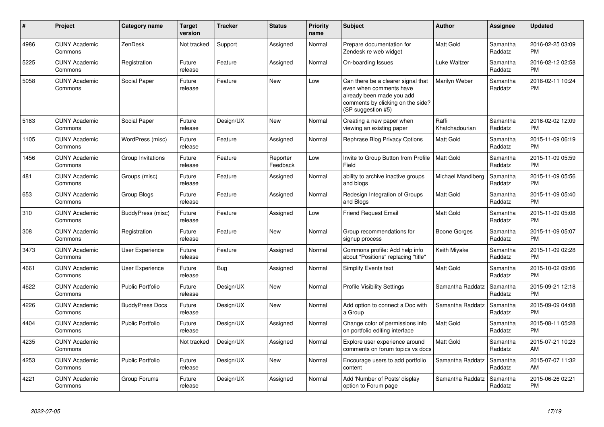| $\#$ | Project                         | <b>Category name</b>    | <b>Target</b><br>version | <b>Tracker</b> | <b>Status</b>        | <b>Priority</b><br>name | <b>Subject</b>                                                                                                                                        | <b>Author</b>            | <b>Assignee</b>     | <b>Updated</b>                |
|------|---------------------------------|-------------------------|--------------------------|----------------|----------------------|-------------------------|-------------------------------------------------------------------------------------------------------------------------------------------------------|--------------------------|---------------------|-------------------------------|
| 4986 | <b>CUNY Academic</b><br>Commons | ZenDesk                 | Not tracked              | Support        | Assigned             | Normal                  | Prepare documentation for<br>Zendesk re web widget                                                                                                    | <b>Matt Gold</b>         | Samantha<br>Raddatz | 2016-02-25 03:09<br><b>PM</b> |
| 5225 | <b>CUNY Academic</b><br>Commons | Registration            | Future<br>release        | Feature        | Assigned             | Normal                  | On-boarding Issues                                                                                                                                    | Luke Waltzer             | Samantha<br>Raddatz | 2016-02-12 02:58<br><b>PM</b> |
| 5058 | <b>CUNY Academic</b><br>Commons | Social Paper            | Future<br>release        | Feature        | New                  | Low                     | Can there be a clearer signal that<br>even when comments have<br>already been made you add<br>comments by clicking on the side?<br>(SP suggestion #5) | Marilyn Weber            | Samantha<br>Raddatz | 2016-02-11 10:24<br><b>PM</b> |
| 5183 | <b>CUNY Academic</b><br>Commons | Social Paper            | Future<br>release        | Design/UX      | <b>New</b>           | Normal                  | Creating a new paper when<br>viewing an existing paper                                                                                                | Raffi<br>Khatchadourian  | Samantha<br>Raddatz | 2016-02-02 12:09<br><b>PM</b> |
| 1105 | <b>CUNY Academic</b><br>Commons | WordPress (misc)        | Future<br>release        | Feature        | Assigned             | Normal                  | Rephrase Blog Privacy Options                                                                                                                         | Matt Gold                | Samantha<br>Raddatz | 2015-11-09 06:19<br><b>PM</b> |
| 1456 | <b>CUNY Academic</b><br>Commons | Group Invitations       | Future<br>release        | Feature        | Reporter<br>Feedback | Low                     | Invite to Group Button from Profile<br>Field                                                                                                          | <b>Matt Gold</b>         | Samantha<br>Raddatz | 2015-11-09 05:59<br><b>PM</b> |
| 481  | <b>CUNY Academic</b><br>Commons | Groups (misc)           | Future<br>release        | Feature        | Assigned             | Normal                  | ability to archive inactive groups<br>and blogs                                                                                                       | <b>Michael Mandiberg</b> | Samantha<br>Raddatz | 2015-11-09 05:56<br><b>PM</b> |
| 653  | <b>CUNY Academic</b><br>Commons | Group Blogs             | Future<br>release        | Feature        | Assigned             | Normal                  | Redesign Integration of Groups<br>and Blogs                                                                                                           | Matt Gold                | Samantha<br>Raddatz | 2015-11-09 05:40<br><b>PM</b> |
| 310  | <b>CUNY Academic</b><br>Commons | BuddyPress (misc)       | Future<br>release        | Feature        | Assigned             | Low                     | <b>Friend Request Email</b>                                                                                                                           | <b>Matt Gold</b>         | Samantha<br>Raddatz | 2015-11-09 05:08<br><b>PM</b> |
| 308  | <b>CUNY Academic</b><br>Commons | Registration            | Future<br>release        | Feature        | <b>New</b>           | Normal                  | Group recommendations for<br>signup process                                                                                                           | Boone Gorges             | Samantha<br>Raddatz | 2015-11-09 05:07<br><b>PM</b> |
| 3473 | <b>CUNY Academic</b><br>Commons | User Experience         | Future<br>release        | Feature        | Assigned             | Normal                  | Commons profile: Add help info<br>about "Positions" replacing "title"                                                                                 | Keith Miyake             | Samantha<br>Raddatz | 2015-11-09 02:28<br><b>PM</b> |
| 4661 | <b>CUNY Academic</b><br>Commons | User Experience         | Future<br>release        | Bug            | Assigned             | Normal                  | Simplify Events text                                                                                                                                  | Matt Gold                | Samantha<br>Raddatz | 2015-10-02 09:06<br><b>PM</b> |
| 4622 | <b>CUNY Academic</b><br>Commons | <b>Public Portfolio</b> | Future<br>release        | Design/UX      | New                  | Normal                  | <b>Profile Visibility Settings</b>                                                                                                                    | Samantha Raddatz         | Samantha<br>Raddatz | 2015-09-21 12:18<br><b>PM</b> |
| 4226 | <b>CUNY Academic</b><br>Commons | <b>BuddyPress Docs</b>  | Future<br>release        | Design/UX      | <b>New</b>           | Normal                  | Add option to connect a Doc with<br>a Group                                                                                                           | Samantha Raddatz         | Samantha<br>Raddatz | 2015-09-09 04:08<br><b>PM</b> |
| 4404 | <b>CUNY Academic</b><br>Commons | <b>Public Portfolio</b> | Future<br>release        | Design/UX      | Assigned             | Normal                  | Change color of permissions info<br>on portfolio editing interface                                                                                    | Matt Gold                | Samantha<br>Raddatz | 2015-08-11 05:28<br><b>PM</b> |
| 4235 | <b>CUNY Academic</b><br>Commons |                         | Not tracked              | Design/UX      | Assigned             | Normal                  | Explore user experience around<br>comments on forum topics vs docs                                                                                    | Matt Gold                | Samantha<br>Raddatz | 2015-07-21 10:23<br>AM        |
| 4253 | <b>CUNY Academic</b><br>Commons | <b>Public Portfolio</b> | Future<br>release        | Design/UX      | <b>New</b>           | Normal                  | Encourage users to add portfolio<br>content                                                                                                           | Samantha Raddatz         | Samantha<br>Raddatz | 2015-07-07 11:32<br>AM        |
| 4221 | <b>CUNY Academic</b><br>Commons | Group Forums            | Future<br>release        | Design/UX      | Assigned             | Normal                  | Add 'Number of Posts' display<br>option to Forum page                                                                                                 | Samantha Raddatz         | Samantha<br>Raddatz | 2015-06-26 02:21<br><b>PM</b> |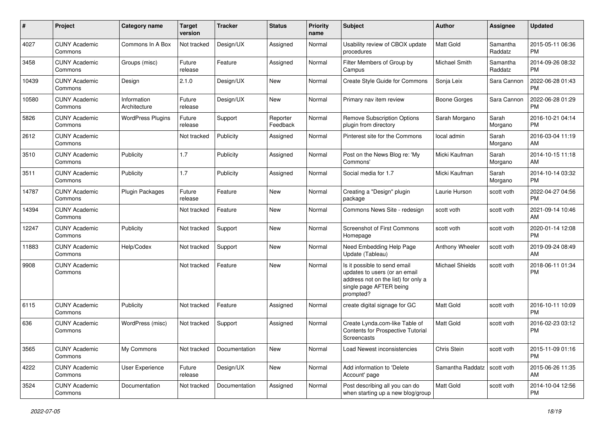| #     | Project                         | Category name               | <b>Target</b><br>version | <b>Tracker</b> | <b>Status</b>        | <b>Priority</b><br>name | <b>Subject</b>                                                                                                                               | Author                        | <b>Assignee</b>     | <b>Updated</b>                |
|-------|---------------------------------|-----------------------------|--------------------------|----------------|----------------------|-------------------------|----------------------------------------------------------------------------------------------------------------------------------------------|-------------------------------|---------------------|-------------------------------|
| 4027  | <b>CUNY Academic</b><br>Commons | Commons In A Box            | Not tracked              | Design/UX      | Assigned             | Normal                  | Usability review of CBOX update<br>procedures                                                                                                | <b>Matt Gold</b>              | Samantha<br>Raddatz | 2015-05-11 06:36<br><b>PM</b> |
| 3458  | <b>CUNY Academic</b><br>Commons | Groups (misc)               | Future<br>release        | Feature        | Assigned             | Normal                  | Filter Members of Group by<br>Campus                                                                                                         | Michael Smith                 | Samantha<br>Raddatz | 2014-09-26 08:32<br><b>PM</b> |
| 10439 | <b>CUNY Academic</b><br>Commons | Design                      | 2.1.0                    | Design/UX      | <b>New</b>           | Normal                  | Create Style Guide for Commons                                                                                                               | Sonja Leix                    | Sara Cannon         | 2022-06-28 01:43<br><b>PM</b> |
| 10580 | <b>CUNY Academic</b><br>Commons | Information<br>Architecture | Future<br>release        | Design/UX      | <b>New</b>           | Normal                  | Primary nav item review                                                                                                                      | <b>Boone Gorges</b>           | Sara Cannon         | 2022-06-28 01:29<br><b>PM</b> |
| 5826  | <b>CUNY Academic</b><br>Commons | <b>WordPress Plugins</b>    | Future<br>release        | Support        | Reporter<br>Feedback | Normal                  | <b>Remove Subscription Options</b><br>plugin from directory                                                                                  | Sarah Morgano                 | Sarah<br>Morgano    | 2016-10-21 04:14<br><b>PM</b> |
| 2612  | <b>CUNY Academic</b><br>Commons |                             | Not tracked              | Publicity      | Assigned             | Normal                  | Pinterest site for the Commons                                                                                                               | local admin                   | Sarah<br>Morgano    | 2016-03-04 11:19<br>AM        |
| 3510  | <b>CUNY Academic</b><br>Commons | Publicity                   | 1.7                      | Publicity      | Assigned             | Normal                  | Post on the News Blog re: 'My<br>Commons'                                                                                                    | Micki Kaufman                 | Sarah<br>Morgano    | 2014-10-15 11:18<br>AM        |
| 3511  | <b>CUNY Academic</b><br>Commons | Publicity                   | 1.7                      | Publicity      | Assigned             | Normal                  | Social media for 1.7                                                                                                                         | Micki Kaufman                 | Sarah<br>Morgano    | 2014-10-14 03:32<br>PM.       |
| 14787 | <b>CUNY Academic</b><br>Commons | <b>Plugin Packages</b>      | Future<br>release        | Feature        | New                  | Normal                  | Creating a "Design" plugin<br>package                                                                                                        | Laurie Hurson                 | scott voth          | 2022-04-27 04:56<br><b>PM</b> |
| 14394 | <b>CUNY Academic</b><br>Commons |                             | Not tracked              | Feature        | <b>New</b>           | Normal                  | Commons News Site - redesign                                                                                                                 | scott voth                    | scott voth          | 2021-09-14 10:46<br>AM        |
| 12247 | <b>CUNY Academic</b><br>Commons | Publicity                   | Not tracked              | Support        | <b>New</b>           | Normal                  | <b>Screenshot of First Commons</b><br>Homepage                                                                                               | scott voth                    | scott voth          | 2020-01-14 12:08<br><b>PM</b> |
| 11883 | <b>CUNY Academic</b><br>Commons | Help/Codex                  | Not tracked              | Support        | <b>New</b>           | Normal                  | Need Embedding Help Page<br>Update (Tableau)                                                                                                 | Anthony Wheeler               | scott voth          | 2019-09-24 08:49<br>AM        |
| 9908  | <b>CUNY Academic</b><br>Commons |                             | Not tracked              | Feature        | New                  | Normal                  | Is it possible to send email<br>updates to users (or an email<br>address not on the list) for only a<br>single page AFTER being<br>prompted? | <b>Michael Shields</b>        | scott voth          | 2018-06-11 01:34<br><b>PM</b> |
| 6115  | <b>CUNY Academic</b><br>Commons | Publicity                   | Not tracked              | Feature        | Assigned             | Normal                  | create digital signage for GC                                                                                                                | <b>Matt Gold</b>              | scott voth          | 2016-10-11 10:09<br><b>PM</b> |
| 636   | <b>CUNY Academic</b><br>Commons | WordPress (misc)            | Not tracked              | Support        | Assigned             | Normal                  | Create Lynda.com-like Table of<br><b>Contents for Prospective Tutorial</b><br><b>Screencasts</b>                                             | <b>Matt Gold</b>              | scott voth          | 2016-02-23 03:12<br><b>PM</b> |
| 3565  | <b>CUNY Academic</b><br>Commons | My Commons                  | Not tracked              | Documentation  | New                  | Normal                  | Load Newest inconsistencies                                                                                                                  | Chris Stein                   | scott voth          | 2015-11-09 01:16<br><b>PM</b> |
| 4222  | <b>CUNY Academic</b><br>Commons | User Experience             | Future<br>release        | Design/UX      | New                  | Normal                  | Add information to 'Delete<br>Account' page                                                                                                  | Samantha Raddatz   scott voth |                     | 2015-06-26 11:35<br>AM        |
| 3524  | <b>CUNY Academic</b><br>Commons | Documentation               | Not tracked              | Documentation  | Assigned             | Normal                  | Post describing all you can do<br>when starting up a new blog/group                                                                          | Matt Gold                     | scott voth          | 2014-10-04 12:56<br><b>PM</b> |